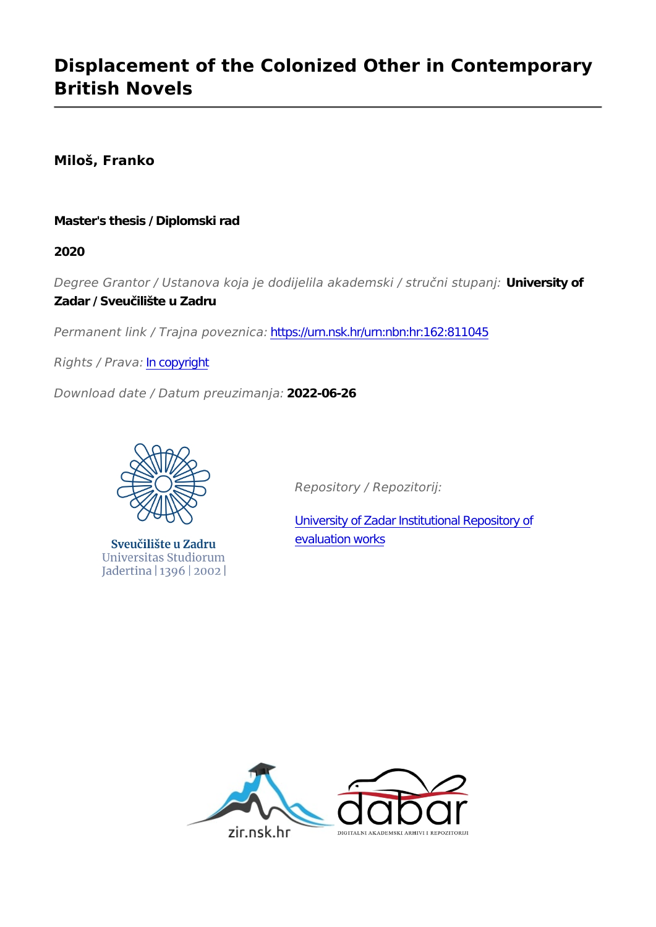# **Displacement of the Colonized Other in Contemporary British Novels**

**Miloš, Franko**

## **Master's thesis / Diplomski rad**

**2020**

*Degree Grantor / Ustanova koja je dodijelila akademski / stručni stupanj:* **University of Zadar / Sveučilište u Zadru**

*Permanent link / Trajna poveznica:* <https://urn.nsk.hr/urn:nbn:hr:162:811045>

*Rights / Prava:* [In copyright](http://rightsstatements.org/vocab/InC/1.0/)

*Download date / Datum preuzimanja:* **2022-06-26**



Sveučilište u Zadru Universitas Studiorum Jadertina | 1396 | 2002 |

*Repository / Repozitorij:*

[University of Zadar Institutional Repository of](https://repozitorij.unizd.hr) [evaluation works](https://repozitorij.unizd.hr)

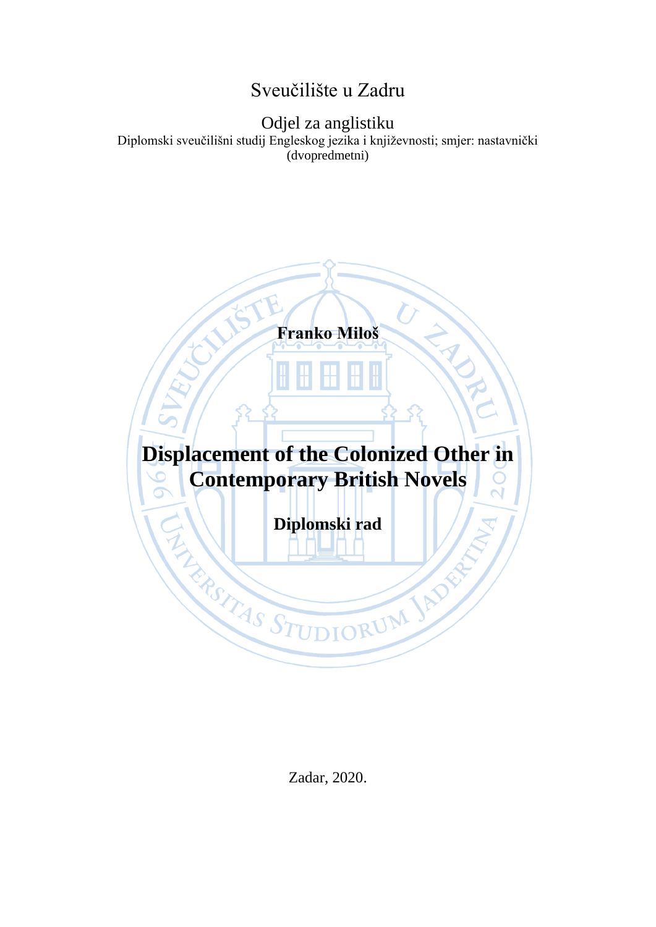# Sveučilište u Zadru

Odjel za anglistiku

Diplomski sveučilišni studij Engleskog jezika i književnosti; smjer: nastavnički (dvopredmetni)

**Franko Miloš**

# **Displacement of the Colonized Other in Contemporary British Novels**

**Diplomski rad**

REACTAS STUDIORUM JAPP

Zadar, 2020.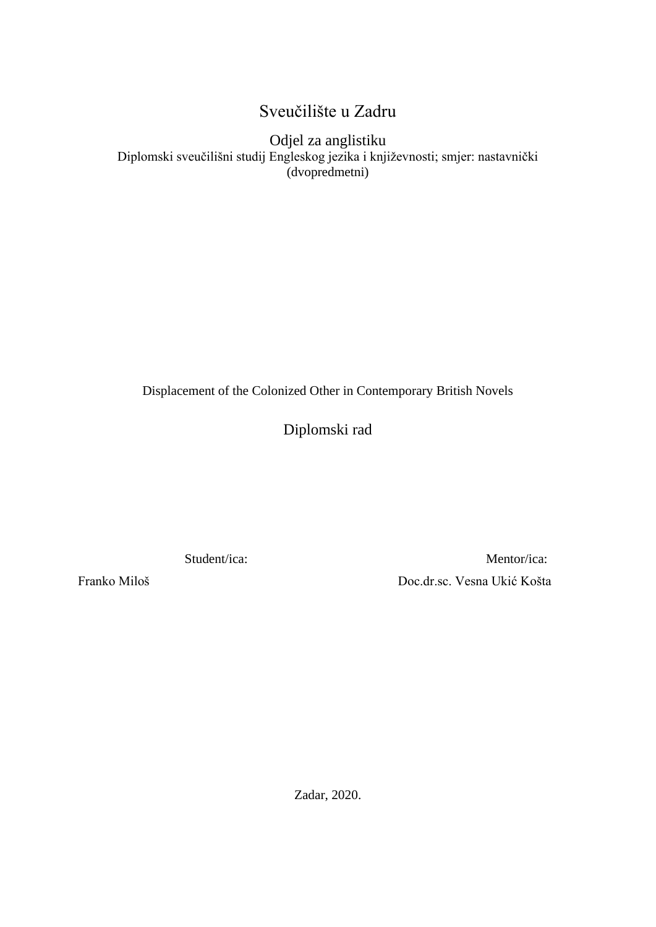# Sveučilište u Zadru

Odjel za anglistiku Diplomski sveučilišni studij Engleskog jezika i književnosti; smjer: nastavnički (dvopredmetni)

Displacement of the Colonized Other in Contemporary British Novels

Diplomski rad

Student/ica:

Mentor/ica: Doc.dr.sc. Vesna Ukić Košta

Franko Miloš

Zadar, 2020.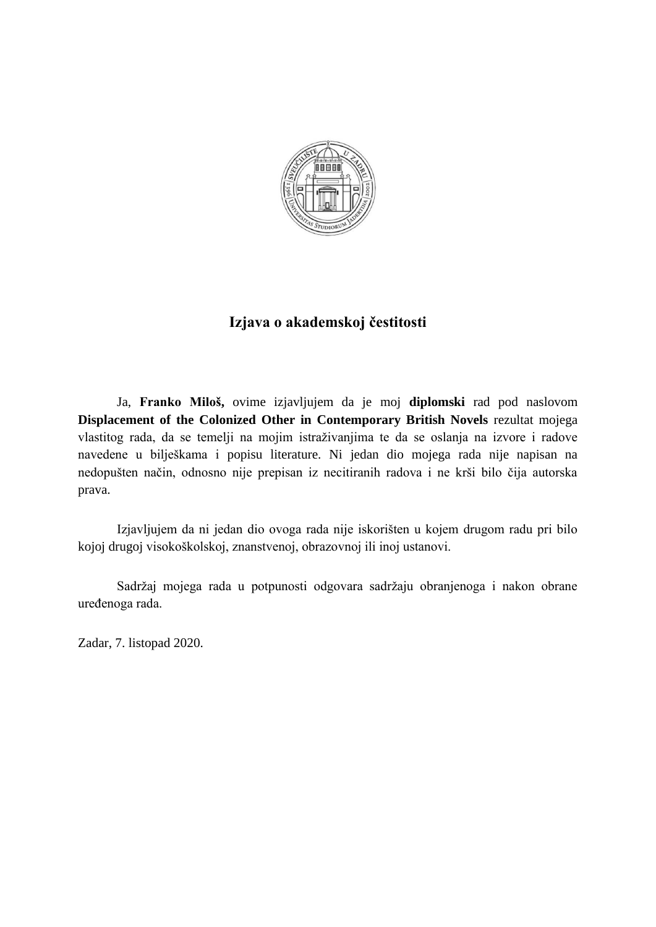

# **Izjava o akademskoj čestitosti**

Ja, **Franko Miloš,** ovime izjavljujem da je moj **diplomski** rad pod naslovom **Displacement of the Colonized Other in Contemporary British Novels** rezultat mojega vlastitog rada, da se temelji na mojim istraživanjima te da se oslanja na izvore i radove navedene u bilješkama i popisu literature. Ni jedan dio mojega rada nije napisan na nedopušten način, odnosno nije prepisan iz necitiranih radova i ne krši bilo čija autorska prava.

Izjavljujem da ni jedan dio ovoga rada nije iskorišten u kojem drugom radu pri bilo kojoj drugoj visokoškolskoj, znanstvenoj, obrazovnoj ili inoj ustanovi.

Sadržaj mojega rada u potpunosti odgovara sadržaju obranjenoga i nakon obrane uređenoga rada.

Zadar, 7. listopad 2020.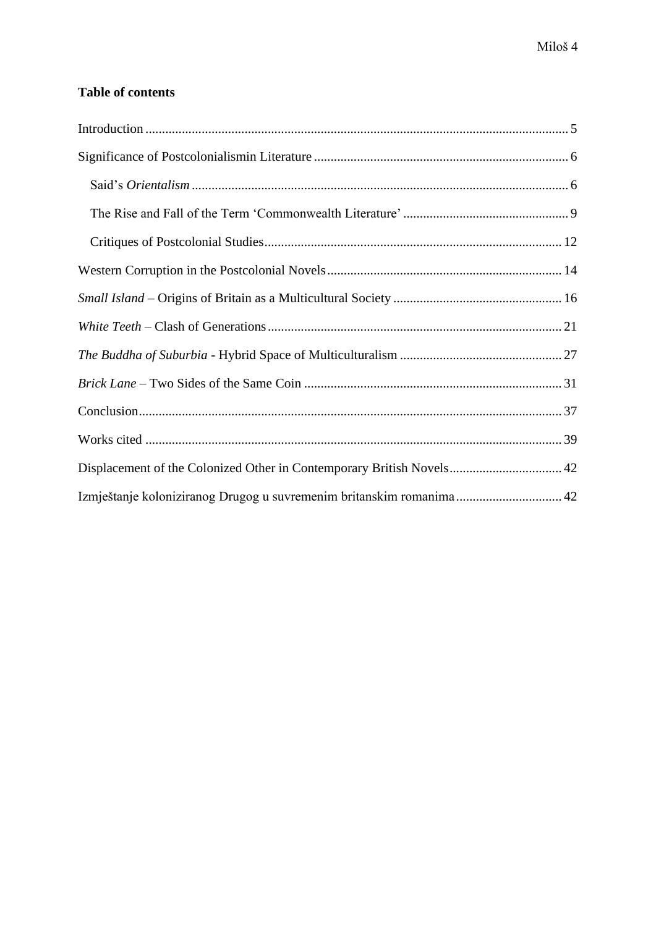## **Table of contents**

| Displacement of the Colonized Other in Contemporary British Novels 42 |
|-----------------------------------------------------------------------|
| Izmještanje koloniziranog Drugog u suvremenim britanskim romanima 42  |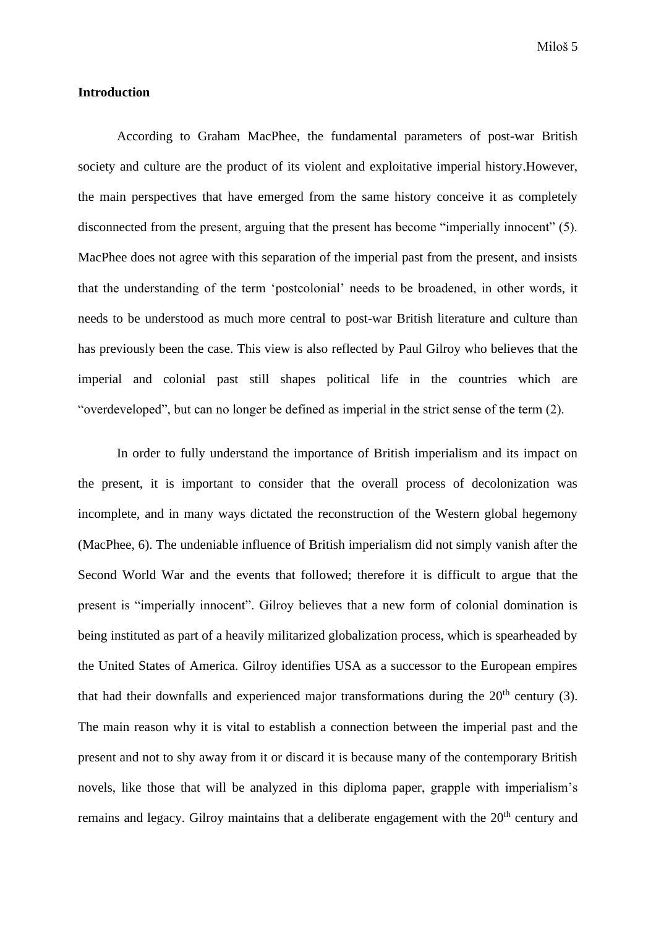#### <span id="page-5-0"></span>**Introduction**

According to Graham MacPhee, the fundamental parameters of post-war British society and culture are the product of its violent and exploitative imperial history.However, the main perspectives that have emerged from the same history conceive it as completely disconnected from the present, arguing that the present has become "imperially innocent" (5). MacPhee does not agree with this separation of the imperial past from the present, and insists that the understanding of the term 'postcolonial' needs to be broadened, in other words, it needs to be understood as much more central to post-war British literature and culture than has previously been the case. This view is also reflected by Paul Gilroy who believes that the imperial and colonial past still shapes political life in the countries which are "overdeveloped", but can no longer be defined as imperial in the strict sense of the term (2).

In order to fully understand the importance of British imperialism and its impact on the present, it is important to consider that the overall process of decolonization was incomplete, and in many ways dictated the reconstruction of the Western global hegemony (MacPhee, 6). The undeniable influence of British imperialism did not simply vanish after the Second World War and the events that followed; therefore it is difficult to argue that the present is "imperially innocent". Gilroy believes that a new form of colonial domination is being instituted as part of a heavily militarized globalization process, which is spearheaded by the United States of America. Gilroy identifies USA as a successor to the European empires that had their downfalls and experienced major transformations during the  $20<sup>th</sup>$  century (3). The main reason why it is vital to establish a connection between the imperial past and the present and not to shy away from it or discard it is because many of the contemporary British novels, like those that will be analyzed in this diploma paper, grapple with imperialism's remains and legacy. Gilroy maintains that a deliberate engagement with the 20<sup>th</sup> century and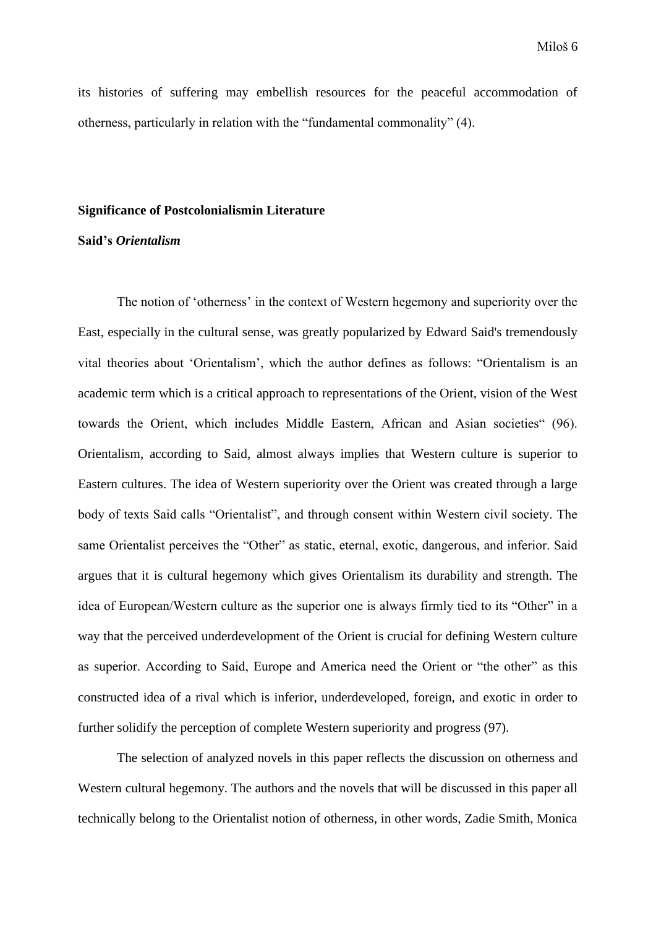its histories of suffering may embellish resources for the peaceful accommodation of otherness, particularly in relation with the "fundamental commonality" (4).

#### <span id="page-6-0"></span>**Significance of Postcolonialismin Literature**

#### <span id="page-6-1"></span>**Said's** *Orientalism*

The notion of 'otherness' in the context of Western hegemony and superiority over the East, especially in the cultural sense, was greatly popularized by Edward Said's tremendously vital theories about 'Orientalism', which the author defines as follows: "Orientalism is an academic term which is a critical approach to representations of the Orient, vision of the West towards the Orient, which includes Middle Eastern, African and Asian societies" (96). Orientalism, according to Said, almost always implies that Western culture is superior to Eastern cultures. The idea of Western superiority over the Orient was created through a large body of texts Said calls "Orientalist", and through consent within Western civil society. The same Orientalist perceives the "Other" as static, eternal, exotic, dangerous, and inferior. Said argues that it is cultural hegemony which gives Orientalism its durability and strength. The idea of European/Western culture as the superior one is always firmly tied to its "Other" in a way that the perceived underdevelopment of the Orient is crucial for defining Western culture as superior. According to Said, Europe and America need the Orient or "the other" as this constructed idea of a rival which is inferior, underdeveloped, foreign, and exotic in order to further solidify the perception of complete Western superiority and progress (97).

The selection of analyzed novels in this paper reflects the discussion on otherness and Western cultural hegemony. The authors and the novels that will be discussed in this paper all technically belong to the Orientalist notion of otherness, in other words, Zadie Smith, Monica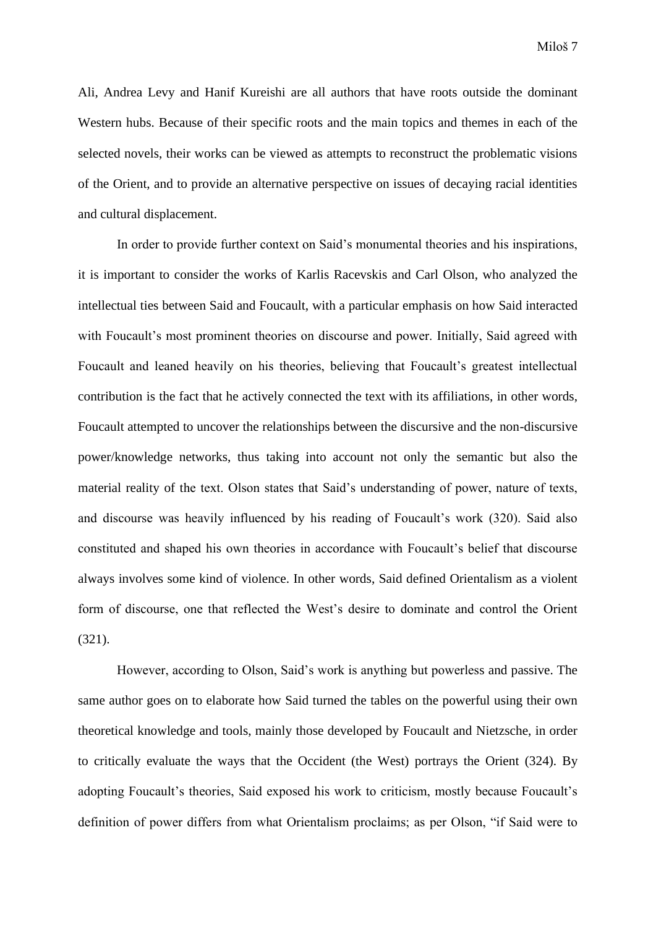Ali, Andrea Levy and Hanif Kureishi are all authors that have roots outside the dominant Western hubs. Because of their specific roots and the main topics and themes in each of the selected novels, their works can be viewed as attempts to reconstruct the problematic visions of the Orient, and to provide an alternative perspective on issues of decaying racial identities and cultural displacement.

In order to provide further context on Said's monumental theories and his inspirations, it is important to consider the works of Karlis Racevskis and Carl Olson, who analyzed the intellectual ties between Said and Foucault, with a particular emphasis on how Said interacted with Foucault's most prominent theories on discourse and power. Initially, Said agreed with Foucault and leaned heavily on his theories, believing that Foucault's greatest intellectual contribution is the fact that he actively connected the text with its affiliations, in other words, Foucault attempted to uncover the relationships between the discursive and the non-discursive power/knowledge networks, thus taking into account not only the semantic but also the material reality of the text. Olson states that Said's understanding of power, nature of texts, and discourse was heavily influenced by his reading of Foucault's work (320). Said also constituted and shaped his own theories in accordance with Foucault's belief that discourse always involves some kind of violence. In other words, Said defined Orientalism as a violent form of discourse, one that reflected the West's desire to dominate and control the Orient (321).

However, according to Olson, Said's work is anything but powerless and passive. The same author goes on to elaborate how Said turned the tables on the powerful using their own theoretical knowledge and tools, mainly those developed by Foucault and Nietzsche, in order to critically evaluate the ways that the Occident (the West) portrays the Orient (324). By adopting Foucault's theories, Said exposed his work to criticism, mostly because Foucault's definition of power differs from what Orientalism proclaims; as per Olson, "if Said were to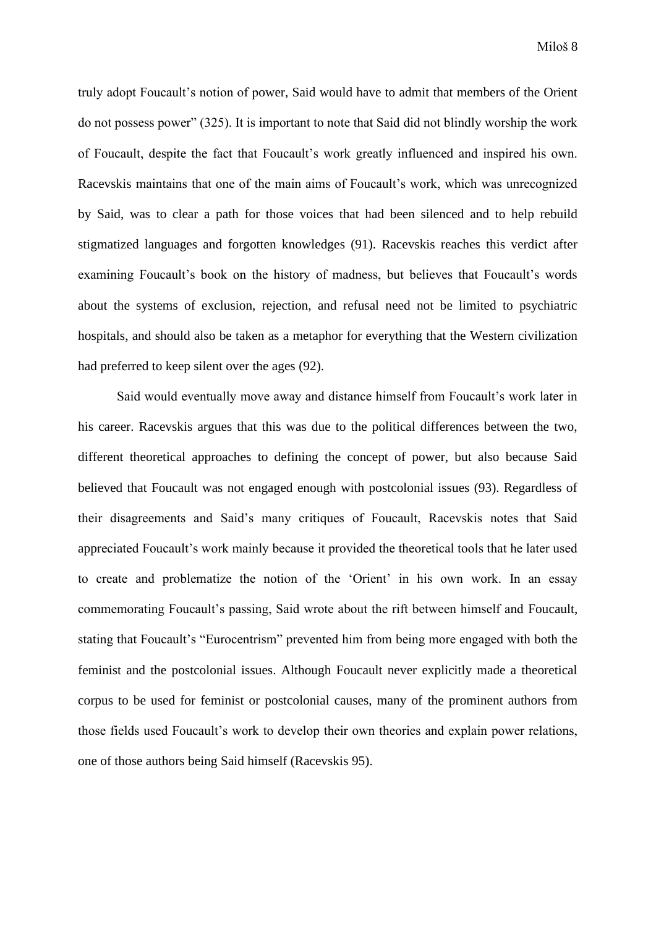truly adopt Foucault's notion of power, Said would have to admit that members of the Orient do not possess power" (325). It is important to note that Said did not blindly worship the work of Foucault, despite the fact that Foucault's work greatly influenced and inspired his own. Racevskis maintains that one of the main aims of Foucault's work, which was unrecognized by Said, was to clear a path for those voices that had been silenced and to help rebuild stigmatized languages and forgotten knowledges (91). Racevskis reaches this verdict after examining Foucault's book on the history of madness, but believes that Foucault's words about the systems of exclusion, rejection, and refusal need not be limited to psychiatric hospitals, and should also be taken as a metaphor for everything that the Western civilization had preferred to keep silent over the ages (92).

Said would eventually move away and distance himself from Foucault's work later in his career. Racevskis argues that this was due to the political differences between the two, different theoretical approaches to defining the concept of power, but also because Said believed that Foucault was not engaged enough with postcolonial issues (93). Regardless of their disagreements and Said's many critiques of Foucault, Racevskis notes that Said appreciated Foucault's work mainly because it provided the theoretical tools that he later used to create and problematize the notion of the 'Orient' in his own work. In an essay commemorating Foucault's passing, Said wrote about the rift between himself and Foucault, stating that Foucault's "Eurocentrism" prevented him from being more engaged with both the feminist and the postcolonial issues. Although Foucault never explicitly made a theoretical corpus to be used for feminist or postcolonial causes, many of the prominent authors from those fields used Foucault's work to develop their own theories and explain power relations, one of those authors being Said himself (Racevskis 95).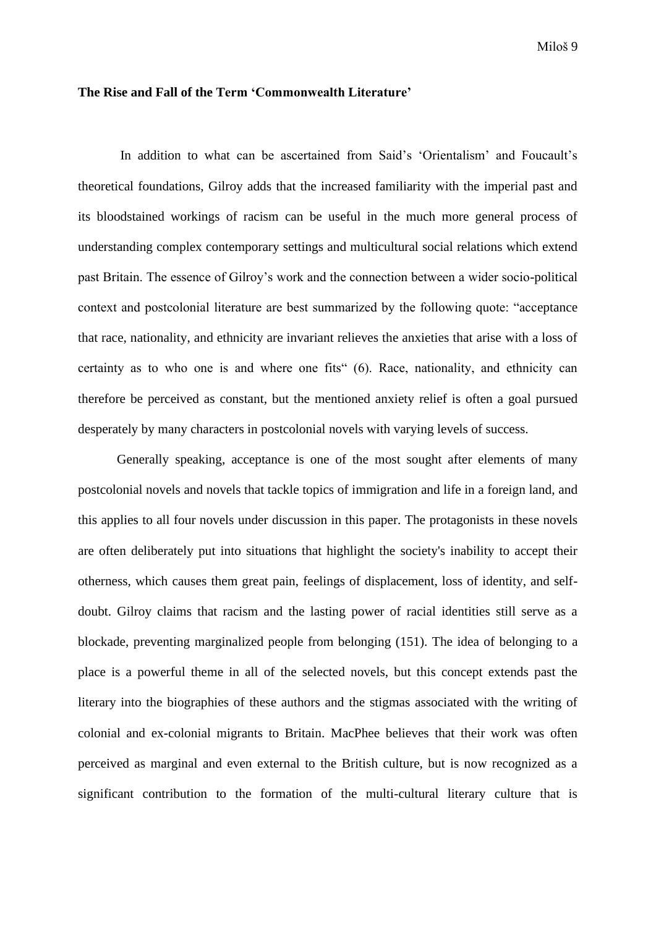#### <span id="page-9-0"></span>**The Rise and Fall of the Term 'Commonwealth Literature'**

In addition to what can be ascertained from Said's 'Orientalism' and Foucault's theoretical foundations, Gilroy adds that the increased familiarity with the imperial past and its bloodstained workings of racism can be useful in the much more general process of understanding complex contemporary settings and multicultural social relations which extend past Britain. The essence of Gilroy's work and the connection between a wider socio-political context and postcolonial literature are best summarized by the following quote: "acceptance that race, nationality, and ethnicity are invariant relieves the anxieties that arise with a loss of certainty as to who one is and where one fits" (6). Race, nationality, and ethnicity can therefore be perceived as constant, but the mentioned anxiety relief is often a goal pursued desperately by many characters in postcolonial novels with varying levels of success.

Generally speaking, acceptance is one of the most sought after elements of many postcolonial novels and novels that tackle topics of immigration and life in a foreign land, and this applies to all four novels under discussion in this paper. The protagonists in these novels are often deliberately put into situations that highlight the society's inability to accept their otherness, which causes them great pain, feelings of displacement, loss of identity, and selfdoubt. Gilroy claims that racism and the lasting power of racial identities still serve as a blockade, preventing marginalized people from belonging (151). The idea of belonging to a place is a powerful theme in all of the selected novels, but this concept extends past the literary into the biographies of these authors and the stigmas associated with the writing of colonial and ex-colonial migrants to Britain. MacPhee believes that their work was often perceived as marginal and even external to the British culture, but is now recognized as a significant contribution to the formation of the multi-cultural literary culture that is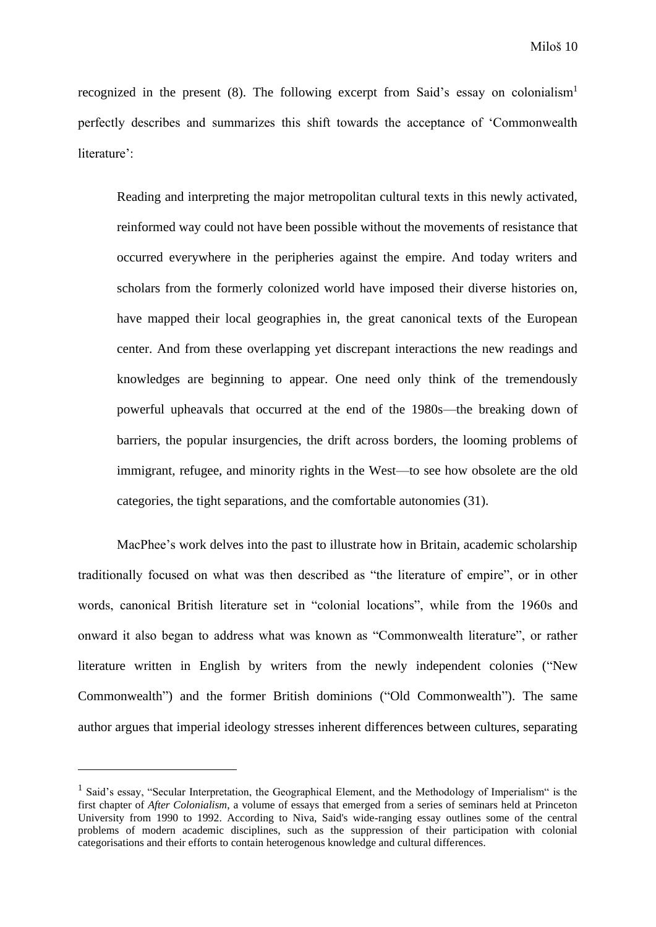recognized in the present (8). The following excerpt from Said's essay on colonialism<sup>1</sup> perfectly describes and summarizes this shift towards the acceptance of 'Commonwealth literature':

Reading and interpreting the major metropolitan cultural texts in this newly activated, reinformed way could not have been possible without the movements of resistance that occurred everywhere in the peripheries against the empire. And today writers and scholars from the formerly colonized world have imposed their diverse histories on, have mapped their local geographies in, the great canonical texts of the European center. And from these overlapping yet discrepant interactions the new readings and knowledges are beginning to appear. One need only think of the tremendously powerful upheavals that occurred at the end of the 1980s—the breaking down of barriers, the popular insurgencies, the drift across borders, the looming problems of immigrant, refugee, and minority rights in the West—to see how obsolete are the old categories, the tight separations, and the comfortable autonomies (31).

MacPhee's work delves into the past to illustrate how in Britain, academic scholarship traditionally focused on what was then described as "the literature of empire", or in other words, canonical British literature set in "colonial locations", while from the 1960s and onward it also began to address what was known as "Commonwealth literature", or rather literature written in English by writers from the newly independent colonies ("New Commonwealth") and the former British dominions ("Old Commonwealth"). The same author argues that imperial ideology stresses inherent differences between cultures, separating

<sup>&</sup>lt;sup>1</sup> Said's essay, "Secular Interpretation, the Geographical Element, and the Methodology of Imperialism" is the first chapter of *After Colonialism*, a volume of essays that emerged from a series of seminars held at Princeton University from 1990 to 1992. According to Niva, Said's wide-ranging essay outlines some of the central problems of modern academic disciplines, such as the suppression of their participation with colonial categorisations and their efforts to contain heterogenous knowledge and cultural differences.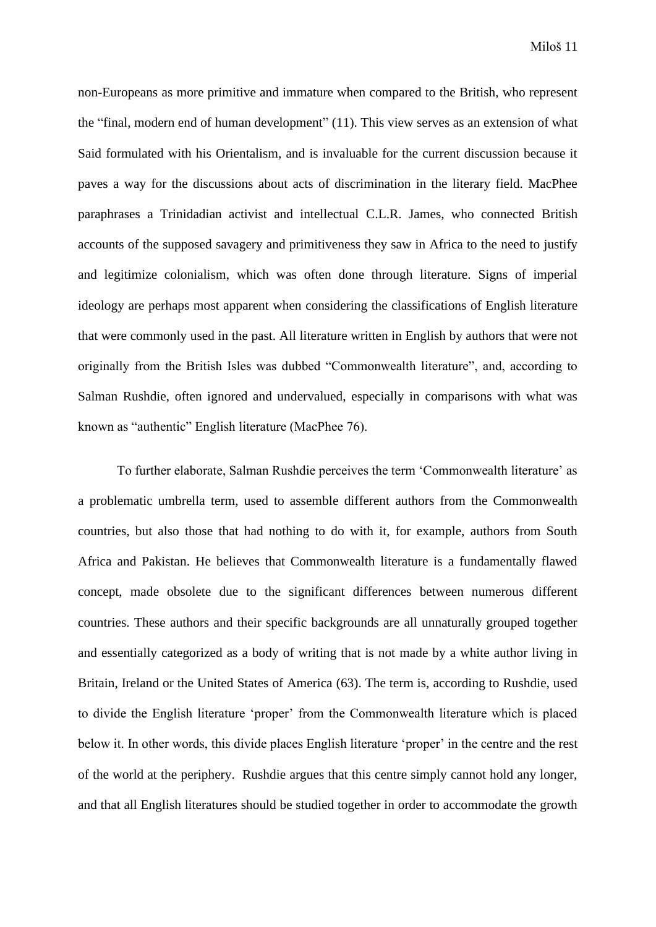non-Europeans as more primitive and immature when compared to the British, who represent the "final, modern end of human development" (11). This view serves as an extension of what Said formulated with his Orientalism, and is invaluable for the current discussion because it paves a way for the discussions about acts of discrimination in the literary field. MacPhee paraphrases a Trinidadian activist and intellectual C.L.R. James, who connected British accounts of the supposed savagery and primitiveness they saw in Africa to the need to justify and legitimize colonialism, which was often done through literature. Signs of imperial ideology are perhaps most apparent when considering the classifications of English literature that were commonly used in the past. All literature written in English by authors that were not originally from the British Isles was dubbed "Commonwealth literature", and, according to Salman Rushdie, often ignored and undervalued, especially in comparisons with what was known as "authentic" English literature (MacPhee 76).

To further elaborate, Salman Rushdie perceives the term 'Commonwealth literature' as a problematic umbrella term, used to assemble different authors from the Commonwealth countries, but also those that had nothing to do with it, for example, authors from South Africa and Pakistan. He believes that Commonwealth literature is a fundamentally flawed concept, made obsolete due to the significant differences between numerous different countries. These authors and their specific backgrounds are all unnaturally grouped together and essentially categorized as a body of writing that is not made by a white author living in Britain, Ireland or the United States of America (63). The term is, according to Rushdie, used to divide the English literature 'proper' from the Commonwealth literature which is placed below it. In other words, this divide places English literature 'proper' in the centre and the rest of the world at the periphery. Rushdie argues that this centre simply cannot hold any longer, and that all English literatures should be studied together in order to accommodate the growth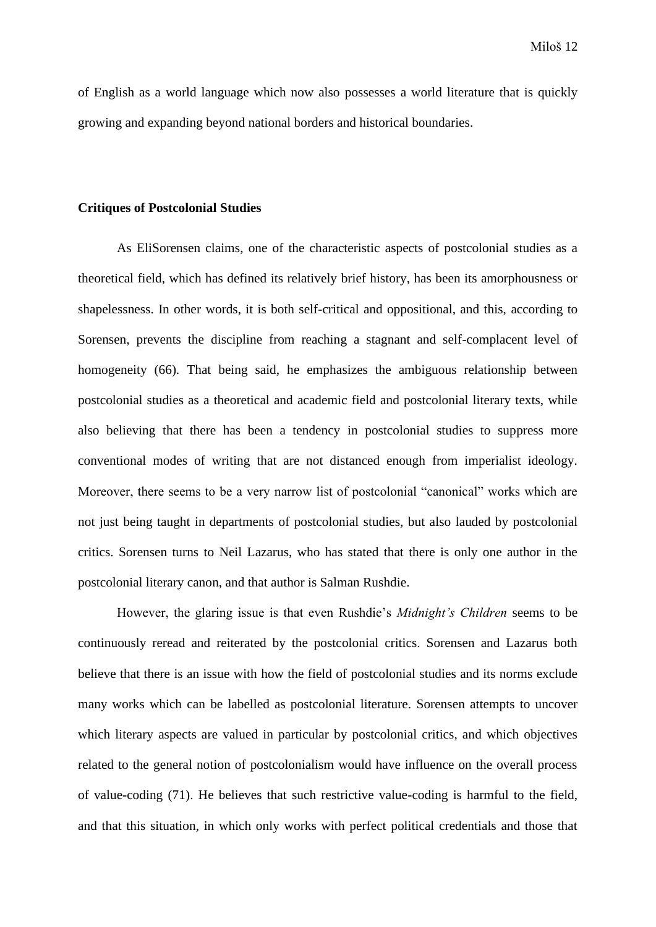of English as a world language which now also possesses a world literature that is quickly growing and expanding beyond national borders and historical boundaries.

#### <span id="page-12-0"></span>**Critiques of Postcolonial Studies**

As EliSorensen claims, one of the characteristic aspects of postcolonial studies as a theoretical field, which has defined its relatively brief history, has been its amorphousness or shapelessness. In other words, it is both self-critical and oppositional, and this, according to Sorensen, prevents the discipline from reaching a stagnant and self-complacent level of homogeneity (66). That being said, he emphasizes the ambiguous relationship between postcolonial studies as a theoretical and academic field and postcolonial literary texts, while also believing that there has been a tendency in postcolonial studies to suppress more conventional modes of writing that are not distanced enough from imperialist ideology. Moreover, there seems to be a very narrow list of postcolonial "canonical" works which are not just being taught in departments of postcolonial studies, but also lauded by postcolonial critics. Sorensen turns to Neil Lazarus, who has stated that there is only one author in the postcolonial literary canon, and that author is Salman Rushdie.

However, the glaring issue is that even Rushdie's *Midnight's Children* seems to be continuously reread and reiterated by the postcolonial critics. Sorensen and Lazarus both believe that there is an issue with how the field of postcolonial studies and its norms exclude many works which can be labelled as postcolonial literature. Sorensen attempts to uncover which literary aspects are valued in particular by postcolonial critics, and which objectives related to the general notion of postcolonialism would have influence on the overall process of value-coding (71). He believes that such restrictive value-coding is harmful to the field, and that this situation, in which only works with perfect political credentials and those that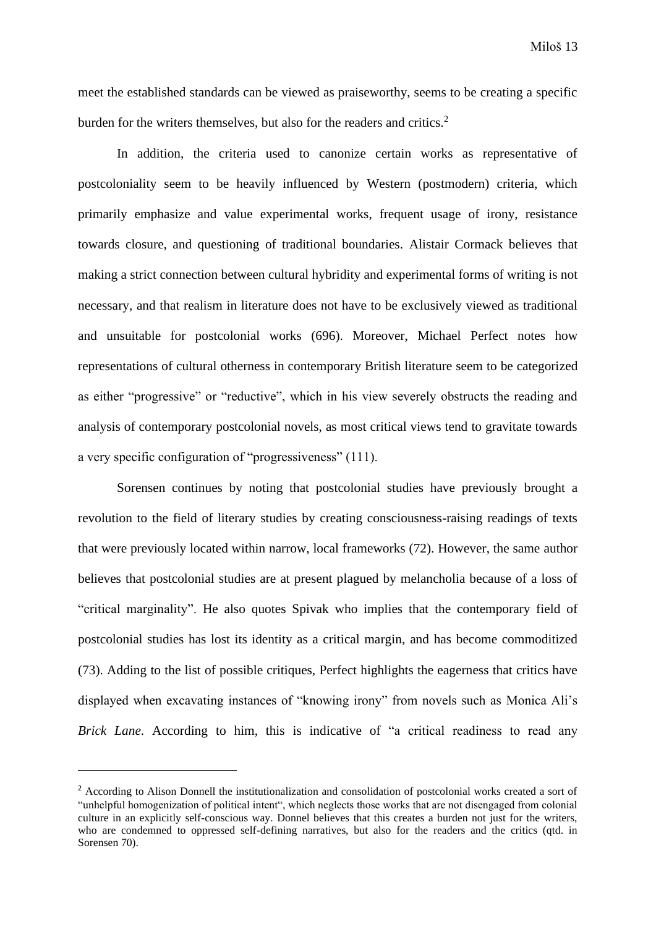meet the established standards can be viewed as praiseworthy, seems to be creating a specific burden for the writers themselves, but also for the readers and critics.<sup>2</sup>

In addition, the criteria used to canonize certain works as representative of postcoloniality seem to be heavily influenced by Western (postmodern) criteria, which primarily emphasize and value experimental works, frequent usage of irony, resistance towards closure, and questioning of traditional boundaries. Alistair Cormack believes that making a strict connection between cultural hybridity and experimental forms of writing is not necessary, and that realism in literature does not have to be exclusively viewed as traditional and unsuitable for postcolonial works (696). Moreover, Michael Perfect notes how representations of cultural otherness in contemporary British literature seem to be categorized as either "progressive" or "reductive", which in his view severely obstructs the reading and analysis of contemporary postcolonial novels, as most critical views tend to gravitate towards a very specific configuration of "progressiveness" (111).

Sorensen continues by noting that postcolonial studies have previously brought a revolution to the field of literary studies by creating consciousness-raising readings of texts that were previously located within narrow, local frameworks (72). However, the same author believes that postcolonial studies are at present plagued by melancholia because of a loss of "critical marginality". He also quotes Spivak who implies that the contemporary field of postcolonial studies has lost its identity as a critical margin, and has become commoditized (73). Adding to the list of possible critiques, Perfect highlights the eagerness that critics have displayed when excavating instances of "knowing irony" from novels such as Monica Ali's *Brick Lane*. According to him, this is indicative of "a critical readiness to read any

<sup>&</sup>lt;sup>2</sup> According to Alison Donnell the institutionalization and consolidation of postcolonial works created a sort of "unhelpful homogenization of political intent", which neglects those works that are not disengaged from colonial culture in an explicitly self-conscious way. Donnel believes that this creates a burden not just for the writers, who are condemned to oppressed self-defining narratives, but also for the readers and the critics (qtd. in Sorensen 70).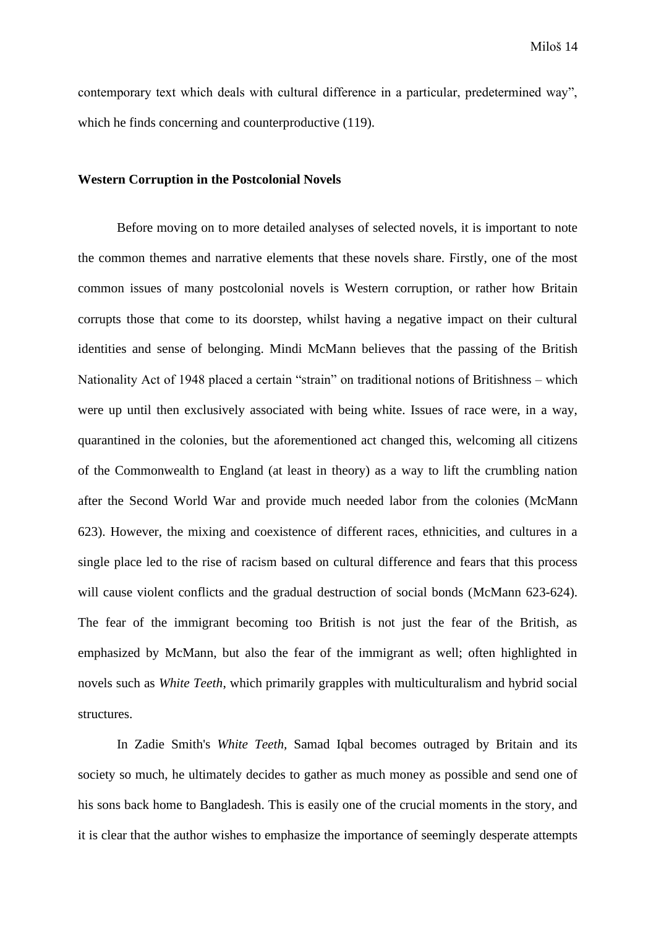contemporary text which deals with cultural difference in a particular, predetermined way", which he finds concerning and counterproductive (119).

#### <span id="page-14-0"></span>**Western Corruption in the Postcolonial Novels**

Before moving on to more detailed analyses of selected novels, it is important to note the common themes and narrative elements that these novels share. Firstly, one of the most common issues of many postcolonial novels is Western corruption, or rather how Britain corrupts those that come to its doorstep, whilst having a negative impact on their cultural identities and sense of belonging. Mindi McMann believes that the passing of the British Nationality Act of 1948 placed a certain "strain" on traditional notions of Britishness – which were up until then exclusively associated with being white. Issues of race were, in a way, quarantined in the colonies, but the aforementioned act changed this, welcoming all citizens of the Commonwealth to England (at least in theory) as a way to lift the crumbling nation after the Second World War and provide much needed labor from the colonies (McMann 623). However, the mixing and coexistence of different races, ethnicities, and cultures in a single place led to the rise of racism based on cultural difference and fears that this process will cause violent conflicts and the gradual destruction of social bonds (McMann 623-624). The fear of the immigrant becoming too British is not just the fear of the British, as emphasized by McMann, but also the fear of the immigrant as well; often highlighted in novels such as *White Teeth*, which primarily grapples with multiculturalism and hybrid social structures.

In Zadie Smith's *White Teeth,* Samad Iqbal becomes outraged by Britain and its society so much, he ultimately decides to gather as much money as possible and send one of his sons back home to Bangladesh. This is easily one of the crucial moments in the story, and it is clear that the author wishes to emphasize the importance of seemingly desperate attempts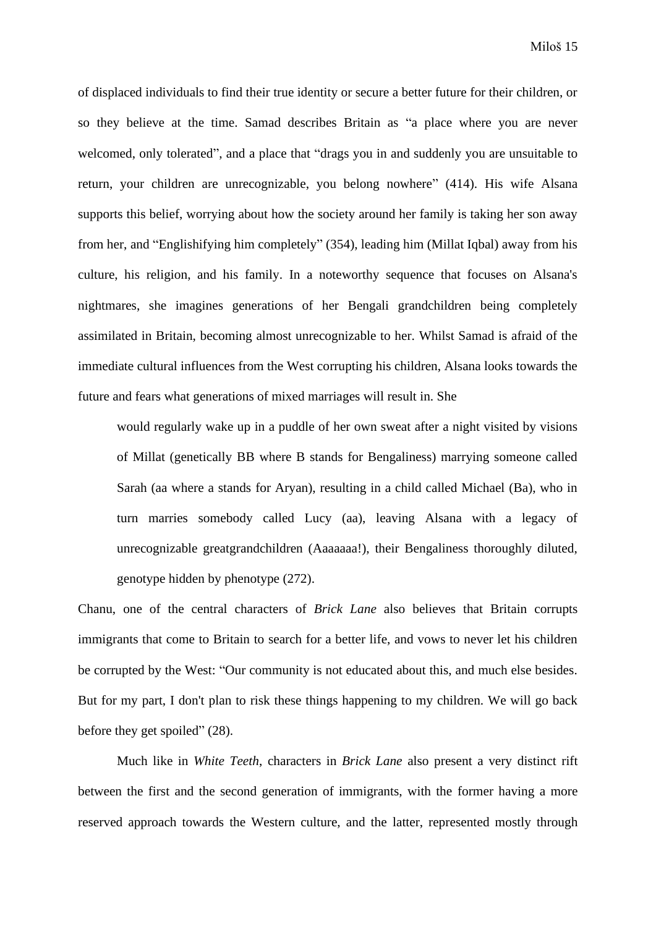of displaced individuals to find their true identity or secure a better future for their children, or so they believe at the time. Samad describes Britain as "a place where you are never welcomed, only tolerated", and a place that "drags you in and suddenly you are unsuitable to return, your children are unrecognizable, you belong nowhere" (414). His wife Alsana supports this belief, worrying about how the society around her family is taking her son away from her, and "Englishifying him completely" (354), leading him (Millat Iqbal) away from his culture, his religion, and his family. In a noteworthy sequence that focuses on Alsana's nightmares, she imagines generations of her Bengali grandchildren being completely assimilated in Britain, becoming almost unrecognizable to her. Whilst Samad is afraid of the immediate cultural influences from the West corrupting his children, Alsana looks towards the future and fears what generations of mixed marriages will result in. She

would regularly wake up in a puddle of her own sweat after a night visited by visions of Millat (genetically BB where B stands for Bengaliness) marrying someone called Sarah (aa where a stands for Aryan), resulting in a child called Michael (Ba), who in turn marries somebody called Lucy (aa), leaving Alsana with a legacy of unrecognizable greatgrandchildren (Aaaaaaa!), their Bengaliness thoroughly diluted, genotype hidden by phenotype (272).

Chanu, one of the central characters of *Brick Lane* also believes that Britain corrupts immigrants that come to Britain to search for a better life, and vows to never let his children be corrupted by the West: "Our community is not educated about this, and much else besides. But for my part, I don't plan to risk these things happening to my children. We will go back before they get spoiled" (28).

Much like in *White Teeth*, characters in *Brick Lane* also present a very distinct rift between the first and the second generation of immigrants, with the former having a more reserved approach towards the Western culture, and the latter, represented mostly through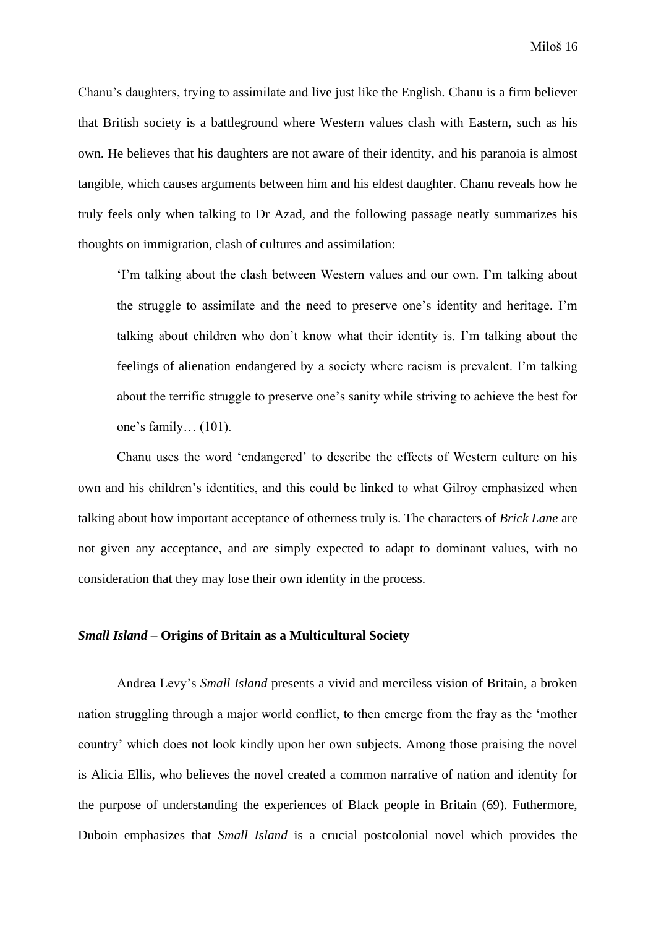Chanu's daughters, trying to assimilate and live just like the English. Chanu is a firm believer that British society is a battleground where Western values clash with Eastern, such as his own. He believes that his daughters are not aware of their identity, and his paranoia is almost tangible, which causes arguments between him and his eldest daughter. Chanu reveals how he truly feels only when talking to Dr Azad, and the following passage neatly summarizes his thoughts on immigration, clash of cultures and assimilation:

'I'm talking about the clash between Western values and our own. I'm talking about the struggle to assimilate and the need to preserve one's identity and heritage. I'm talking about children who don't know what their identity is. I'm talking about the feelings of alienation endangered by a society where racism is prevalent. I'm talking about the terrific struggle to preserve one's sanity while striving to achieve the best for one's family… (101).

Chanu uses the word 'endangered' to describe the effects of Western culture on his own and his children's identities, and this could be linked to what Gilroy emphasized when talking about how important acceptance of otherness truly is. The characters of *Brick Lane* are not given any acceptance, and are simply expected to adapt to dominant values, with no consideration that they may lose their own identity in the process.

#### <span id="page-16-0"></span>*Small Island* **– Origins of Britain as a Multicultural Society**

Andrea Levy's *Small Island* presents a vivid and merciless vision of Britain, a broken nation struggling through a major world conflict, to then emerge from the fray as the 'mother country' which does not look kindly upon her own subjects. Among those praising the novel is Alicia Ellis, who believes the novel created a common narrative of nation and identity for the purpose of understanding the experiences of Black people in Britain (69). Futhermore, Duboin emphasizes that *Small Island* is a crucial postcolonial novel which provides the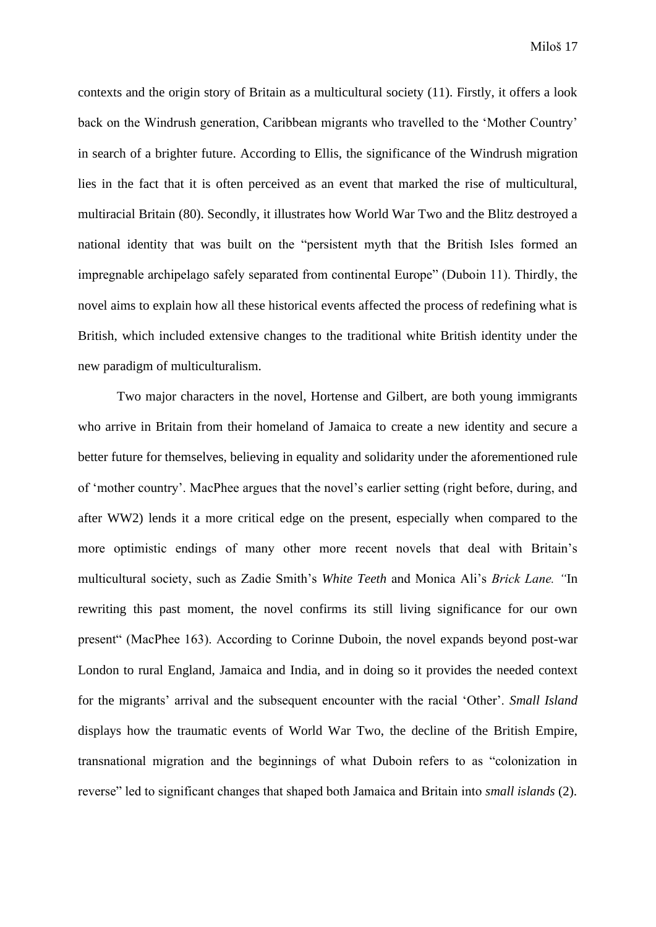contexts and the origin story of Britain as a multicultural society (11). Firstly, it offers a look back on the Windrush generation, Caribbean migrants who travelled to the 'Mother Country' in search of a brighter future. According to Ellis, the significance of the Windrush migration lies in the fact that it is often perceived as an event that marked the rise of multicultural, multiracial Britain (80). Secondly, it illustrates how World War Two and the Blitz destroyed a national identity that was built on the "persistent myth that the British Isles formed an impregnable archipelago safely separated from continental Europe" (Duboin 11). Thirdly, the novel aims to explain how all these historical events affected the process of redefining what is British, which included extensive changes to the traditional white British identity under the new paradigm of multiculturalism.

Two major characters in the novel, Hortense and Gilbert, are both young immigrants who arrive in Britain from their homeland of Jamaica to create a new identity and secure a better future for themselves, believing in equality and solidarity under the aforementioned rule of 'mother country'. MacPhee argues that the novel's earlier setting (right before, during, and after WW2) lends it a more critical edge on the present, especially when compared to the more optimistic endings of many other more recent novels that deal with Britain's multicultural society, such as Zadie Smith's *White Teeth* and Monica Ali's *Brick Lane. "*In rewriting this past moment, the novel confirms its still living significance for our own present" (MacPhee 163). According to Corinne Duboin, the novel expands beyond post-war London to rural England, Jamaica and India, and in doing so it provides the needed context for the migrants' arrival and the subsequent encounter with the racial 'Other'. *Small Island*  displays how the traumatic events of World War Two, the decline of the British Empire, transnational migration and the beginnings of what Duboin refers to as "colonization in reverse" led to significant changes that shaped both Jamaica and Britain into *small islands* (2).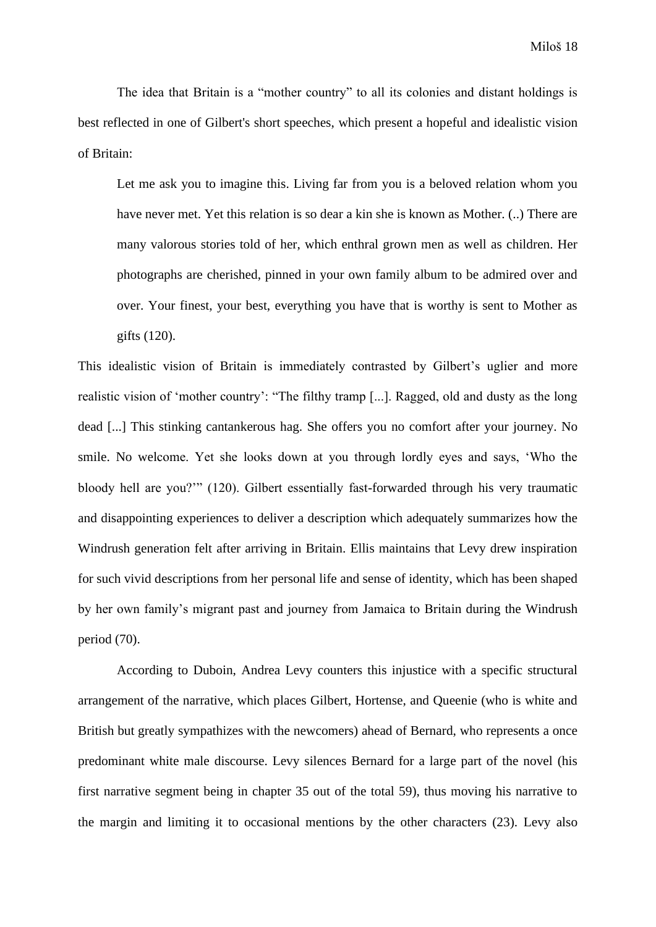The idea that Britain is a "mother country" to all its colonies and distant holdings is best reflected in one of Gilbert's short speeches, which present a hopeful and idealistic vision of Britain:

Let me ask you to imagine this. Living far from you is a beloved relation whom you have never met. Yet this relation is so dear a kin she is known as Mother. (..) There are many valorous stories told of her, which enthral grown men as well as children. Her photographs are cherished, pinned in your own family album to be admired over and over. Your finest, your best, everything you have that is worthy is sent to Mother as gifts (120).

This idealistic vision of Britain is immediately contrasted by Gilbert's uglier and more realistic vision of 'mother country': "The filthy tramp [...]. Ragged, old and dusty as the long dead [...] This stinking cantankerous hag. She offers you no comfort after your journey. No smile. No welcome. Yet she looks down at you through lordly eyes and says, 'Who the bloody hell are you?'" (120). Gilbert essentially fast-forwarded through his very traumatic and disappointing experiences to deliver a description which adequately summarizes how the Windrush generation felt after arriving in Britain. Ellis maintains that Levy drew inspiration for such vivid descriptions from her personal life and sense of identity, which has been shaped by her own family's migrant past and journey from Jamaica to Britain during the Windrush period (70).

According to Duboin, Andrea Levy counters this injustice with a specific structural arrangement of the narrative, which places Gilbert, Hortense, and Queenie (who is white and British but greatly sympathizes with the newcomers) ahead of Bernard, who represents a once predominant white male discourse. Levy silences Bernard for a large part of the novel (his first narrative segment being in chapter 35 out of the total 59), thus moving his narrative to the margin and limiting it to occasional mentions by the other characters (23). Levy also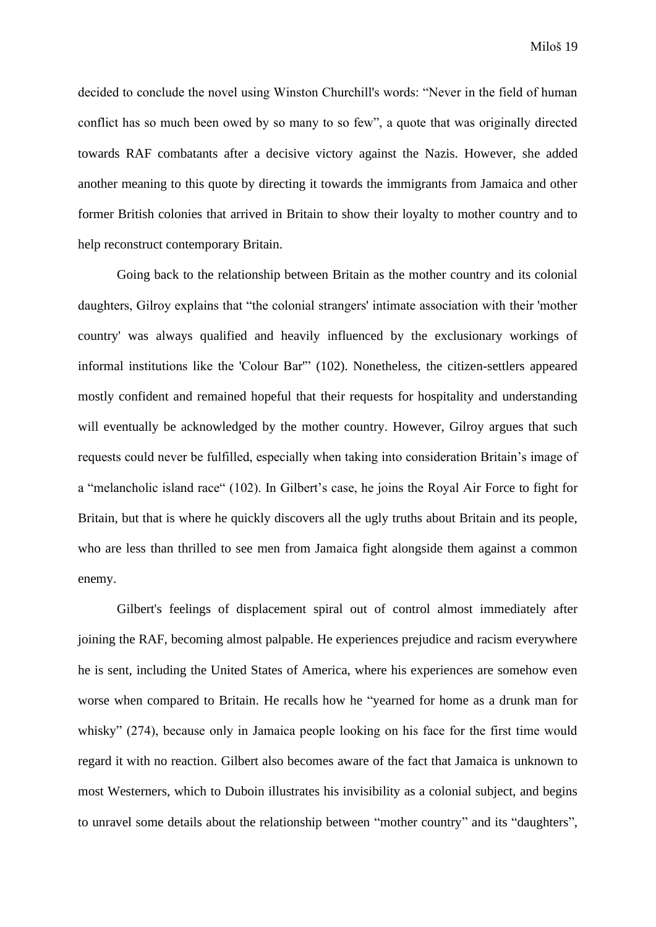decided to conclude the novel using Winston Churchill's words: "Never in the field of human conflict has so much been owed by so many to so few", a quote that was originally directed towards RAF combatants after a decisive victory against the Nazis. However, she added another meaning to this quote by directing it towards the immigrants from Jamaica and other former British colonies that arrived in Britain to show their loyalty to mother country and to help reconstruct contemporary Britain.

Going back to the relationship between Britain as the mother country and its colonial daughters, Gilroy explains that "the colonial strangers' intimate association with their 'mother country' was always qualified and heavily influenced by the exclusionary workings of informal institutions like the 'Colour Bar'" (102). Nonetheless, the citizen-settlers appeared mostly confident and remained hopeful that their requests for hospitality and understanding will eventually be acknowledged by the mother country. However, Gilroy argues that such requests could never be fulfilled, especially when taking into consideration Britain's image of a "melancholic island race" (102). In Gilbert's case, he joins the Royal Air Force to fight for Britain, but that is where he quickly discovers all the ugly truths about Britain and its people, who are less than thrilled to see men from Jamaica fight alongside them against a common enemy.

Gilbert's feelings of displacement spiral out of control almost immediately after joining the RAF, becoming almost palpable. He experiences prejudice and racism everywhere he is sent, including the United States of America, where his experiences are somehow even worse when compared to Britain. He recalls how he "yearned for home as a drunk man for whisky" (274), because only in Jamaica people looking on his face for the first time would regard it with no reaction. Gilbert also becomes aware of the fact that Jamaica is unknown to most Westerners, which to Duboin illustrates his invisibility as a colonial subject, and begins to unravel some details about the relationship between "mother country" and its "daughters",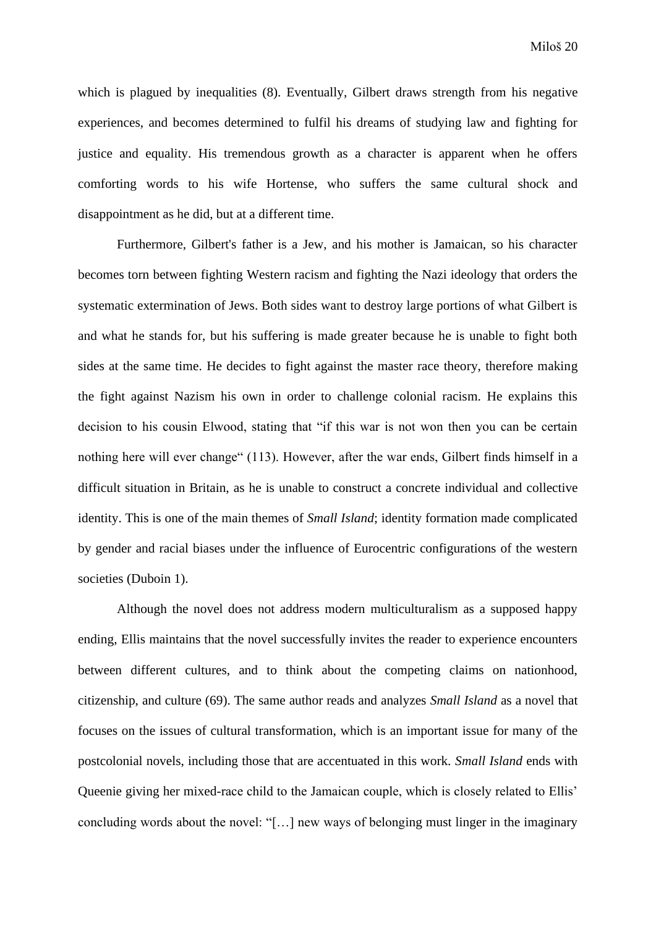which is plagued by inequalities (8). Eventually, Gilbert draws strength from his negative experiences, and becomes determined to fulfil his dreams of studying law and fighting for justice and equality. His tremendous growth as a character is apparent when he offers comforting words to his wife Hortense, who suffers the same cultural shock and disappointment as he did, but at a different time.

Furthermore, Gilbert's father is a Jew, and his mother is Jamaican, so his character becomes torn between fighting Western racism and fighting the Nazi ideology that orders the systematic extermination of Jews. Both sides want to destroy large portions of what Gilbert is and what he stands for, but his suffering is made greater because he is unable to fight both sides at the same time. He decides to fight against the master race theory, therefore making the fight against Nazism his own in order to challenge colonial racism. He explains this decision to his cousin Elwood, stating that "if this war is not won then you can be certain nothing here will ever change" (113). However, after the war ends, Gilbert finds himself in a difficult situation in Britain, as he is unable to construct a concrete individual and collective identity. This is one of the main themes of *Small Island*; identity formation made complicated by gender and racial biases under the influence of Eurocentric configurations of the western societies (Duboin 1).

Although the novel does not address modern multiculturalism as a supposed happy ending, Ellis maintains that the novel successfully invites the reader to experience encounters between different cultures, and to think about the competing claims on nationhood, citizenship, and culture (69). The same author reads and analyzes *Small Island* as a novel that focuses on the issues of cultural transformation, which is an important issue for many of the postcolonial novels, including those that are accentuated in this work. *Small Island* ends with Queenie giving her mixed-race child to the Jamaican couple, which is closely related to Ellis' concluding words about the novel: "[…] new ways of belonging must linger in the imaginary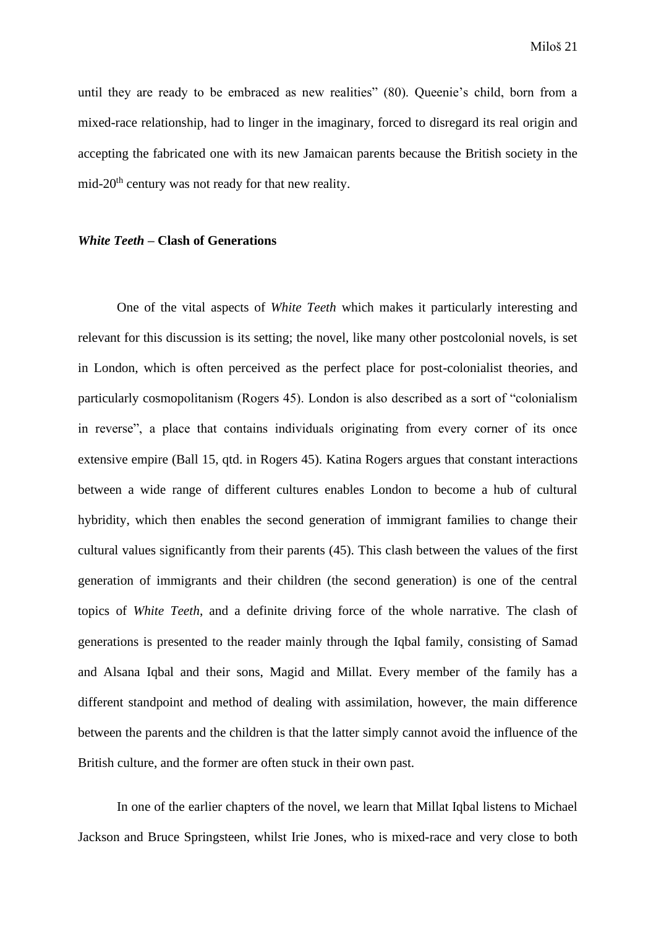until they are ready to be embraced as new realities" (80). Queenie's child, born from a mixed-race relationship, had to linger in the imaginary, forced to disregard its real origin and accepting the fabricated one with its new Jamaican parents because the British society in the mid-20<sup>th</sup> century was not ready for that new reality.

#### <span id="page-21-0"></span>*White Teeth* **– Clash of Generations**

One of the vital aspects of *White Teeth* which makes it particularly interesting and relevant for this discussion is its setting; the novel, like many other postcolonial novels, is set in London, which is often perceived as the perfect place for post-colonialist theories, and particularly cosmopolitanism (Rogers 45). London is also described as a sort of "colonialism in reverse", a place that contains individuals originating from every corner of its once extensive empire (Ball 15, qtd. in Rogers 45). Katina Rogers argues that constant interactions between a wide range of different cultures enables London to become a hub of cultural hybridity, which then enables the second generation of immigrant families to change their cultural values significantly from their parents (45). This clash between the values of the first generation of immigrants and their children (the second generation) is one of the central topics of *White Teeth*, and a definite driving force of the whole narrative. The clash of generations is presented to the reader mainly through the Iqbal family, consisting of Samad and Alsana Iqbal and their sons, Magid and Millat. Every member of the family has a different standpoint and method of dealing with assimilation, however, the main difference between the parents and the children is that the latter simply cannot avoid the influence of the British culture, and the former are often stuck in their own past.

In one of the earlier chapters of the novel, we learn that Millat Iqbal listens to Michael Jackson and Bruce Springsteen, whilst Irie Jones, who is mixed-race and very close to both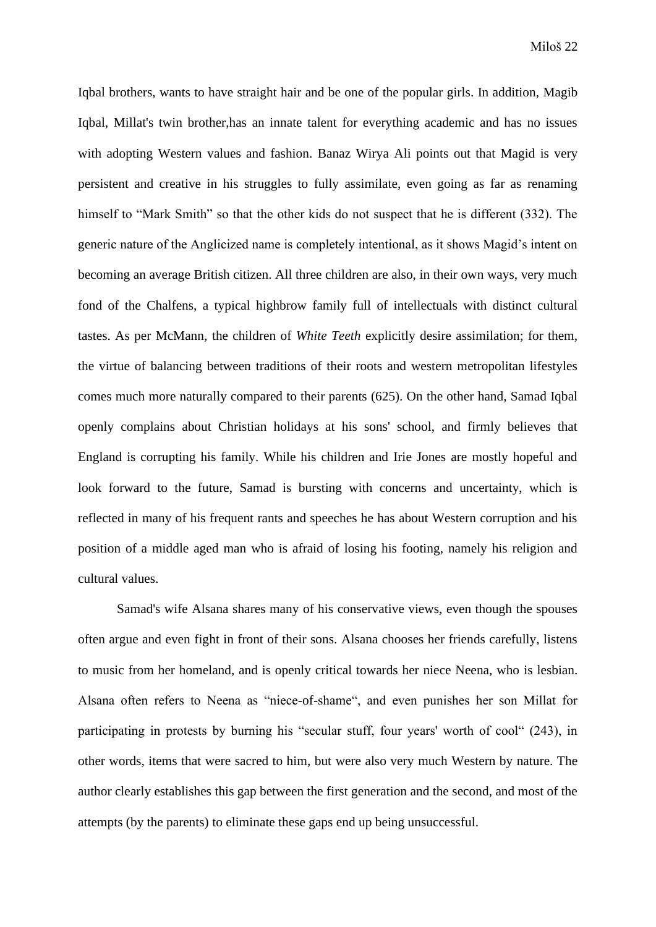Iqbal brothers, wants to have straight hair and be one of the popular girls. In addition, Magib Iqbal, Millat's twin brother,has an innate talent for everything academic and has no issues with adopting Western values and fashion. Banaz Wirya Ali points out that Magid is very persistent and creative in his struggles to fully assimilate, even going as far as renaming himself to "Mark Smith" so that the other kids do not suspect that he is different (332). The generic nature of the Anglicized name is completely intentional, as it shows Magid's intent on becoming an average British citizen. All three children are also, in their own ways, very much fond of the Chalfens, a typical highbrow family full of intellectuals with distinct cultural tastes. As per McMann, the children of *White Teeth* explicitly desire assimilation; for them, the virtue of balancing between traditions of their roots and western metropolitan lifestyles comes much more naturally compared to their parents (625). On the other hand, Samad Iqbal openly complains about Christian holidays at his sons' school, and firmly believes that England is corrupting his family. While his children and Irie Jones are mostly hopeful and look forward to the future, Samad is bursting with concerns and uncertainty, which is reflected in many of his frequent rants and speeches he has about Western corruption and his position of a middle aged man who is afraid of losing his footing, namely his religion and cultural values.

Samad's wife Alsana shares many of his conservative views, even though the spouses often argue and even fight in front of their sons. Alsana chooses her friends carefully, listens to music from her homeland, and is openly critical towards her niece Neena, who is lesbian. Alsana often refers to Neena as "niece-of-shame", and even punishes her son Millat for participating in protests by burning his "secular stuff, four years' worth of cool" (243), in other words, items that were sacred to him, but were also very much Western by nature. The author clearly establishes this gap between the first generation and the second, and most of the attempts (by the parents) to eliminate these gaps end up being unsuccessful.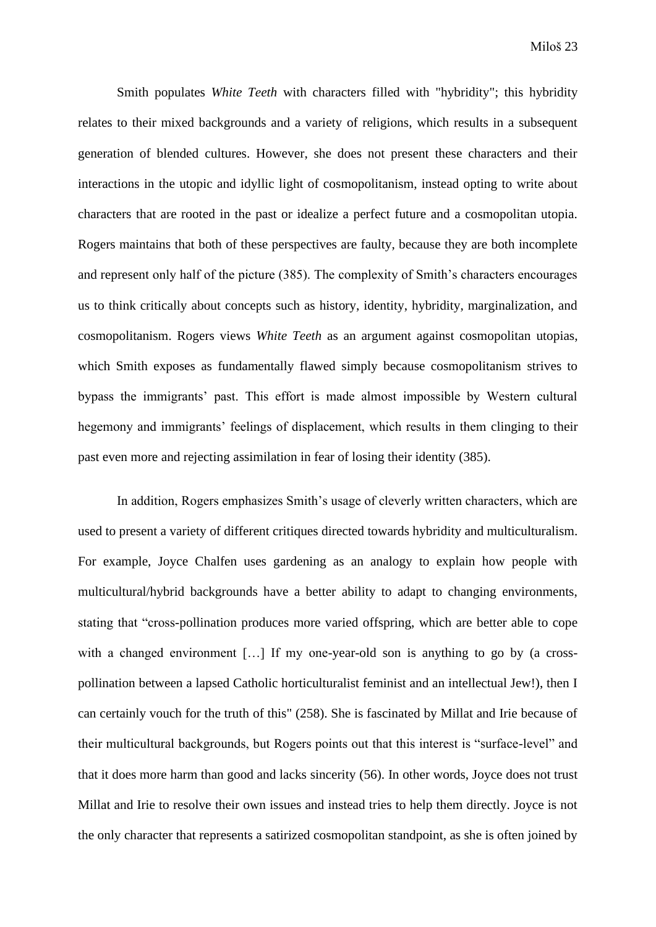Smith populates *White Teeth* with characters filled with "hybridity"; this hybridity relates to their mixed backgrounds and a variety of religions, which results in a subsequent generation of blended cultures. However, she does not present these characters and their interactions in the utopic and idyllic light of cosmopolitanism, instead opting to write about characters that are rooted in the past or idealize a perfect future and a cosmopolitan utopia. Rogers maintains that both of these perspectives are faulty, because they are both incomplete and represent only half of the picture (385). The complexity of Smith's characters encourages us to think critically about concepts such as history, identity, hybridity, marginalization, and cosmopolitanism. Rogers views *White Teeth* as an argument against cosmopolitan utopias, which Smith exposes as fundamentally flawed simply because cosmopolitanism strives to bypass the immigrants' past. This effort is made almost impossible by Western cultural hegemony and immigrants' feelings of displacement, which results in them clinging to their past even more and rejecting assimilation in fear of losing their identity (385).

In addition, Rogers emphasizes Smith's usage of cleverly written characters, which are used to present a variety of different critiques directed towards hybridity and multiculturalism. For example, Joyce Chalfen uses gardening as an analogy to explain how people with multicultural/hybrid backgrounds have a better ability to adapt to changing environments, stating that "cross-pollination produces more varied offspring, which are better able to cope with a changed environment [...] If my one-year-old son is anything to go by (a crosspollination between a lapsed Catholic horticulturalist feminist and an intellectual Jew!), then I can certainly vouch for the truth of this" (258). She is fascinated by Millat and Irie because of their multicultural backgrounds, but Rogers points out that this interest is "surface-level" and that it does more harm than good and lacks sincerity (56). In other words, Joyce does not trust Millat and Irie to resolve their own issues and instead tries to help them directly. Joyce is not the only character that represents a satirized cosmopolitan standpoint, as she is often joined by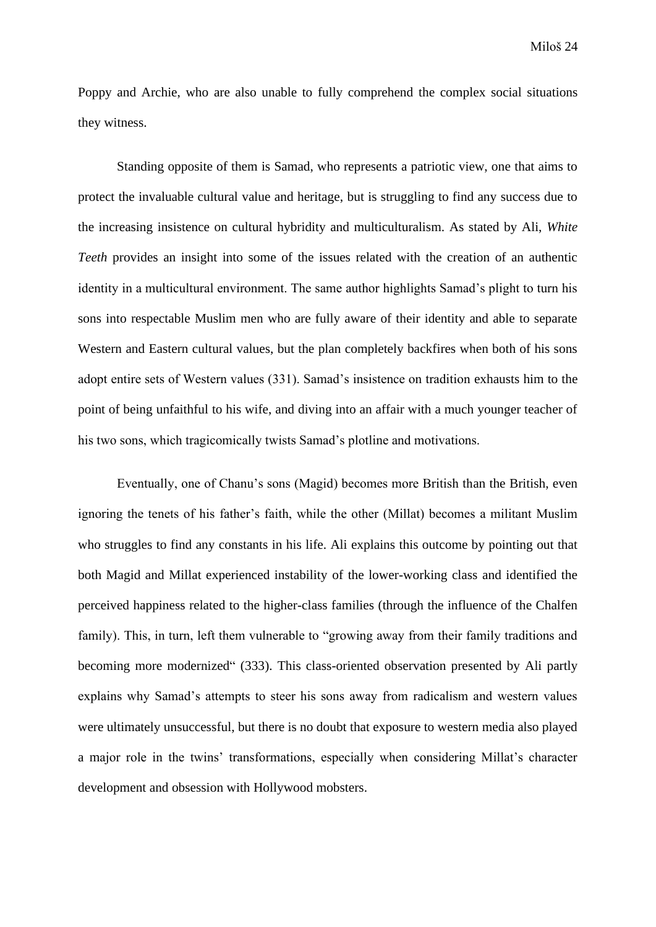Poppy and Archie, who are also unable to fully comprehend the complex social situations they witness.

Standing opposite of them is Samad, who represents a patriotic view, one that aims to protect the invaluable cultural value and heritage, but is struggling to find any success due to the increasing insistence on cultural hybridity and multiculturalism. As stated by Ali, *White Teeth* provides an insight into some of the issues related with the creation of an authentic identity in a multicultural environment. The same author highlights Samad's plight to turn his sons into respectable Muslim men who are fully aware of their identity and able to separate Western and Eastern cultural values, but the plan completely backfires when both of his sons adopt entire sets of Western values (331). Samad's insistence on tradition exhausts him to the point of being unfaithful to his wife, and diving into an affair with a much younger teacher of his two sons, which tragicomically twists Samad's plotline and motivations.

Eventually, one of Chanu's sons (Magid) becomes more British than the British, even ignoring the tenets of his father's faith, while the other (Millat) becomes a militant Muslim who struggles to find any constants in his life. Ali explains this outcome by pointing out that both Magid and Millat experienced instability of the lower-working class and identified the perceived happiness related to the higher-class families (through the influence of the Chalfen family). This, in turn, left them vulnerable to "growing away from their family traditions and becoming more modernized" (333). This class-oriented observation presented by Ali partly explains why Samad's attempts to steer his sons away from radicalism and western values were ultimately unsuccessful, but there is no doubt that exposure to western media also played a major role in the twins' transformations, especially when considering Millat's character development and obsession with Hollywood mobsters.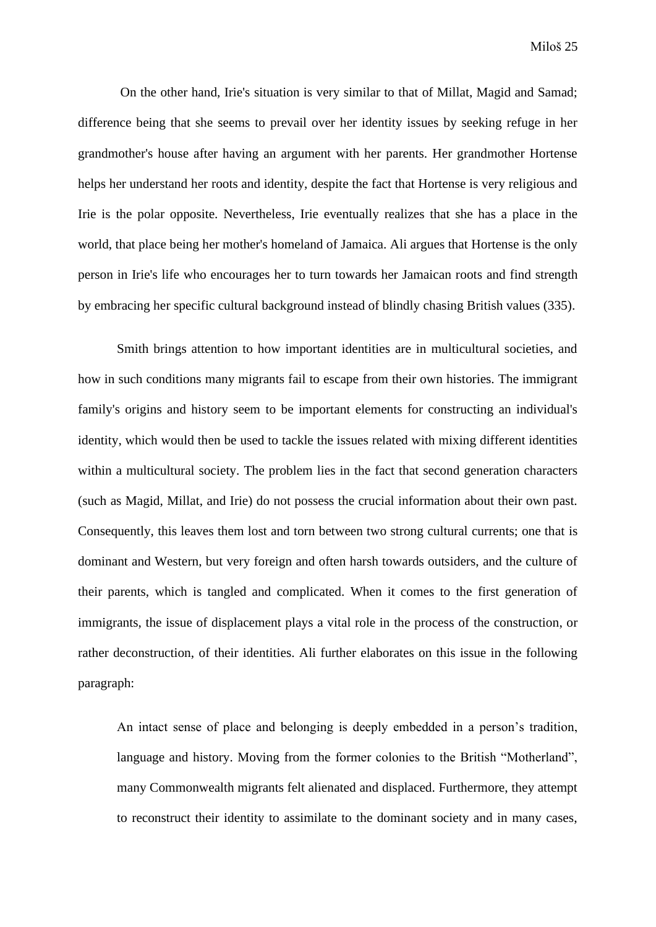Miloš 25

On the other hand, Irie's situation is very similar to that of Millat, Magid and Samad; difference being that she seems to prevail over her identity issues by seeking refuge in her grandmother's house after having an argument with her parents. Her grandmother Hortense helps her understand her roots and identity, despite the fact that Hortense is very religious and Irie is the polar opposite. Nevertheless, Irie eventually realizes that she has a place in the world, that place being her mother's homeland of Jamaica. Ali argues that Hortense is the only person in Irie's life who encourages her to turn towards her Jamaican roots and find strength by embracing her specific cultural background instead of blindly chasing British values (335).

Smith brings attention to how important identities are in multicultural societies, and how in such conditions many migrants fail to escape from their own histories. The immigrant family's origins and history seem to be important elements for constructing an individual's identity, which would then be used to tackle the issues related with mixing different identities within a multicultural society. The problem lies in the fact that second generation characters (such as Magid, Millat, and Irie) do not possess the crucial information about their own past. Consequently, this leaves them lost and torn between two strong cultural currents; one that is dominant and Western, but very foreign and often harsh towards outsiders, and the culture of their parents, which is tangled and complicated. When it comes to the first generation of immigrants, the issue of displacement plays a vital role in the process of the construction, or rather deconstruction, of their identities. Ali further elaborates on this issue in the following paragraph:

An intact sense of place and belonging is deeply embedded in a person's tradition, language and history. Moving from the former colonies to the British "Motherland", many Commonwealth migrants felt alienated and displaced. Furthermore, they attempt to reconstruct their identity to assimilate to the dominant society and in many cases,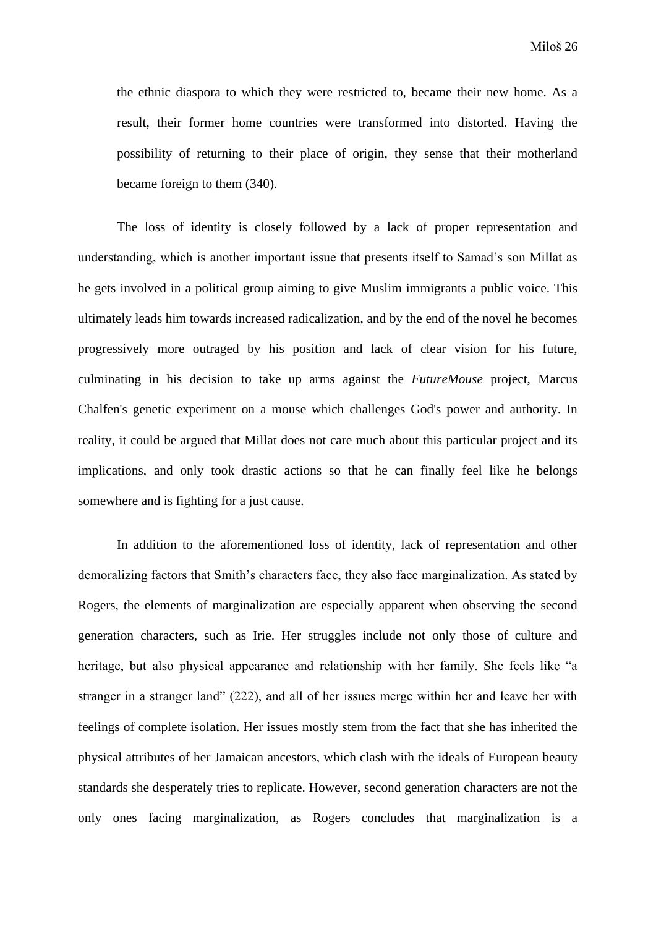the ethnic diaspora to which they were restricted to, became their new home. As a result, their former home countries were transformed into distorted. Having the possibility of returning to their place of origin, they sense that their motherland became foreign to them (340).

The loss of identity is closely followed by a lack of proper representation and understanding, which is another important issue that presents itself to Samad's son Millat as he gets involved in a political group aiming to give Muslim immigrants a public voice. This ultimately leads him towards increased radicalization, and by the end of the novel he becomes progressively more outraged by his position and lack of clear vision for his future, culminating in his decision to take up arms against the *FutureMouse* project, Marcus Chalfen's genetic experiment on a mouse which challenges God's power and authority. In reality, it could be argued that Millat does not care much about this particular project and its implications, and only took drastic actions so that he can finally feel like he belongs somewhere and is fighting for a just cause.

In addition to the aforementioned loss of identity, lack of representation and other demoralizing factors that Smith's characters face, they also face marginalization. As stated by Rogers, the elements of marginalization are especially apparent when observing the second generation characters, such as Irie. Her struggles include not only those of culture and heritage, but also physical appearance and relationship with her family. She feels like "a stranger in a stranger land" (222), and all of her issues merge within her and leave her with feelings of complete isolation. Her issues mostly stem from the fact that she has inherited the physical attributes of her Jamaican ancestors, which clash with the ideals of European beauty standards she desperately tries to replicate. However, second generation characters are not the only ones facing marginalization, as Rogers concludes that marginalization is a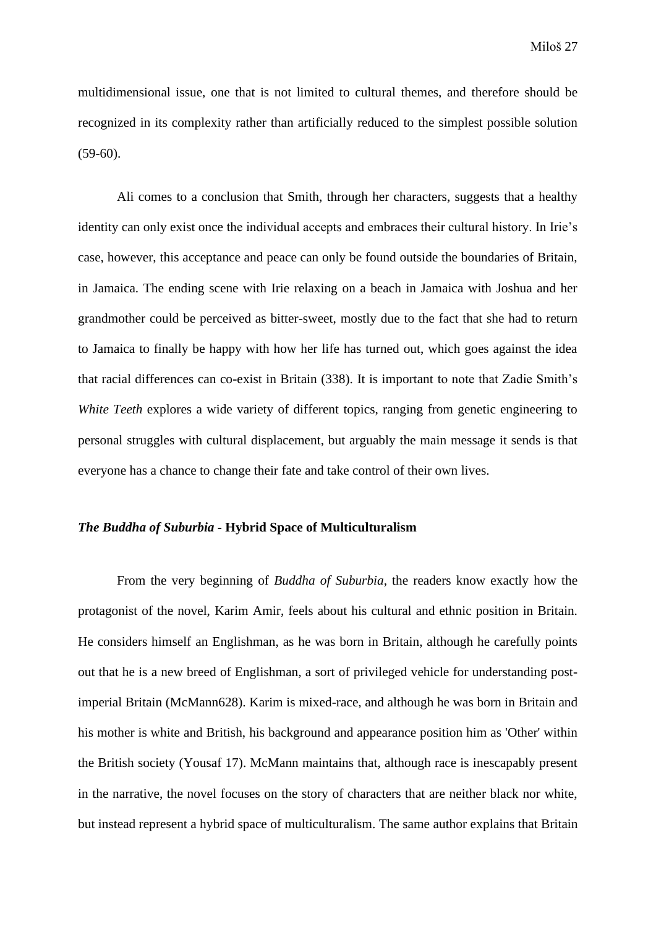multidimensional issue, one that is not limited to cultural themes, and therefore should be recognized in its complexity rather than artificially reduced to the simplest possible solution  $(59-60)$ .

Ali comes to a conclusion that Smith, through her characters, suggests that a healthy identity can only exist once the individual accepts and embraces their cultural history. In Irie's case, however, this acceptance and peace can only be found outside the boundaries of Britain, in Jamaica. The ending scene with Irie relaxing on a beach in Jamaica with Joshua and her grandmother could be perceived as bitter-sweet, mostly due to the fact that she had to return to Jamaica to finally be happy with how her life has turned out, which goes against the idea that racial differences can co-exist in Britain (338). It is important to note that Zadie Smith's *White Teeth* explores a wide variety of different topics, ranging from genetic engineering to personal struggles with cultural displacement, but arguably the main message it sends is that everyone has a chance to change their fate and take control of their own lives.

#### <span id="page-27-0"></span>*The Buddha of Suburbia* **- Hybrid Space of Multiculturalism**

From the very beginning of *Buddha of Suburbia*, the readers know exactly how the protagonist of the novel, Karim Amir, feels about his cultural and ethnic position in Britain. He considers himself an Englishman, as he was born in Britain, although he carefully points out that he is a new breed of Englishman, a sort of privileged vehicle for understanding postimperial Britain (McMann628). Karim is mixed-race, and although he was born in Britain and his mother is white and British, his background and appearance position him as 'Other' within the British society (Yousaf 17). McMann maintains that, although race is inescapably present in the narrative, the novel focuses on the story of characters that are neither black nor white, but instead represent a hybrid space of multiculturalism. The same author explains that Britain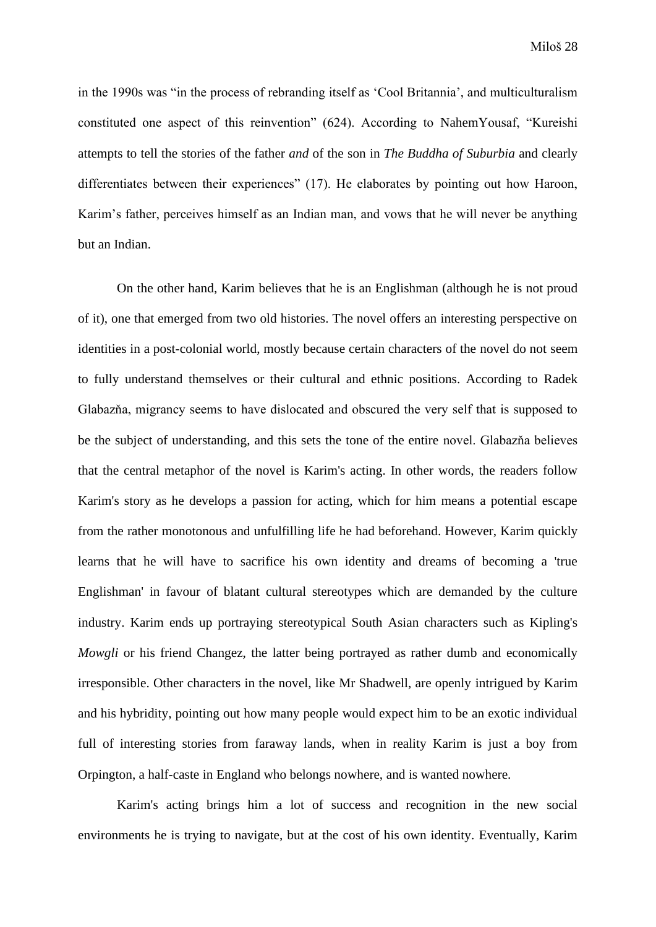in the 1990s was "in the process of rebranding itself as 'Cool Britannia', and multiculturalism constituted one aspect of this reinvention" (624). According to NahemYousaf, "Kureishi attempts to tell the stories of the father *and* of the son in *The Buddha of Suburbia* and clearly differentiates between their experiences" (17). He elaborates by pointing out how Haroon, Karim's father, perceives himself as an Indian man, and vows that he will never be anything but an Indian.

On the other hand, Karim believes that he is an Englishman (although he is not proud of it), one that emerged from two old histories. The novel offers an interesting perspective on identities in a post-colonial world, mostly because certain characters of the novel do not seem to fully understand themselves or their cultural and ethnic positions. According to Radek Glabazňa, migrancy seems to have dislocated and obscured the very self that is supposed to be the subject of understanding, and this sets the tone of the entire novel. Glabazňa believes that the central metaphor of the novel is Karim's acting. In other words, the readers follow Karim's story as he develops a passion for acting, which for him means a potential escape from the rather monotonous and unfulfilling life he had beforehand. However, Karim quickly learns that he will have to sacrifice his own identity and dreams of becoming a 'true Englishman' in favour of blatant cultural stereotypes which are demanded by the culture industry. Karim ends up portraying stereotypical South Asian characters such as Kipling's *Mowgli* or his friend Changez, the latter being portrayed as rather dumb and economically irresponsible. Other characters in the novel, like Mr Shadwell, are openly intrigued by Karim and his hybridity, pointing out how many people would expect him to be an exotic individual full of interesting stories from faraway lands, when in reality Karim is just a boy from Orpington, a half-caste in England who belongs nowhere, and is wanted nowhere.

Karim's acting brings him a lot of success and recognition in the new social environments he is trying to navigate, but at the cost of his own identity. Eventually, Karim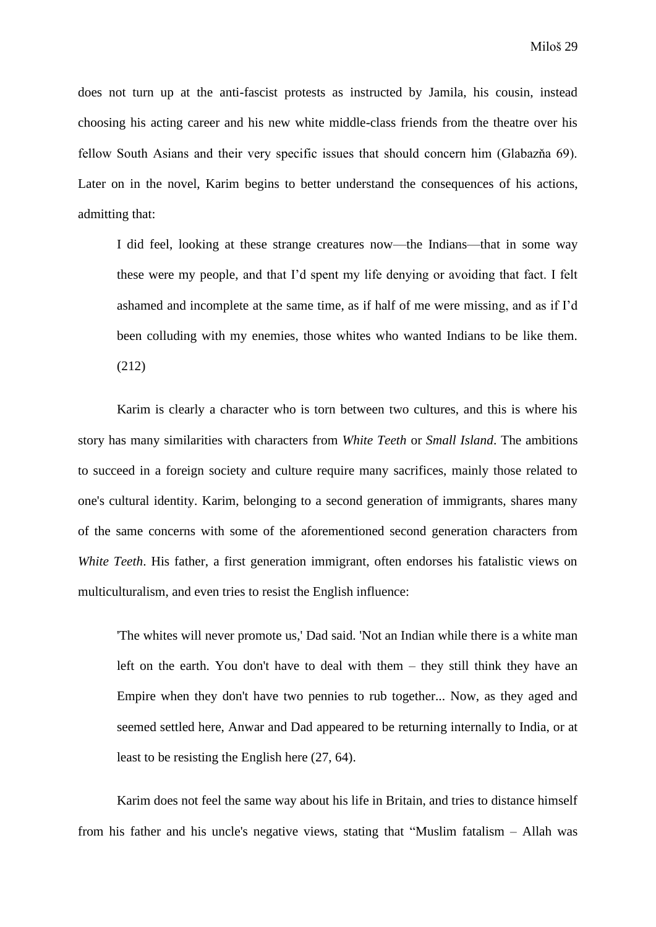does not turn up at the anti-fascist protests as instructed by Jamila, his cousin, instead choosing his acting career and his new white middle-class friends from the theatre over his fellow South Asians and their very specific issues that should concern him (Glabazňa 69). Later on in the novel, Karim begins to better understand the consequences of his actions, admitting that:

I did feel, looking at these strange creatures now—the Indians—that in some way these were my people, and that I'd spent my life denying or avoiding that fact. I felt ashamed and incomplete at the same time, as if half of me were missing, and as if I'd been colluding with my enemies, those whites who wanted Indians to be like them. (212)

Karim is clearly a character who is torn between two cultures, and this is where his story has many similarities with characters from *White Teeth* or *Small Island*. The ambitions to succeed in a foreign society and culture require many sacrifices, mainly those related to one's cultural identity. Karim, belonging to a second generation of immigrants, shares many of the same concerns with some of the aforementioned second generation characters from *White Teeth*. His father, a first generation immigrant, often endorses his fatalistic views on multiculturalism, and even tries to resist the English influence:

'The whites will never promote us,' Dad said. 'Not an Indian while there is a white man left on the earth. You don't have to deal with them – they still think they have an Empire when they don't have two pennies to rub together... Now, as they aged and seemed settled here, Anwar and Dad appeared to be returning internally to India, or at least to be resisting the English here (27, 64).

Karim does not feel the same way about his life in Britain, and tries to distance himself from his father and his uncle's negative views, stating that "Muslim fatalism – Allah was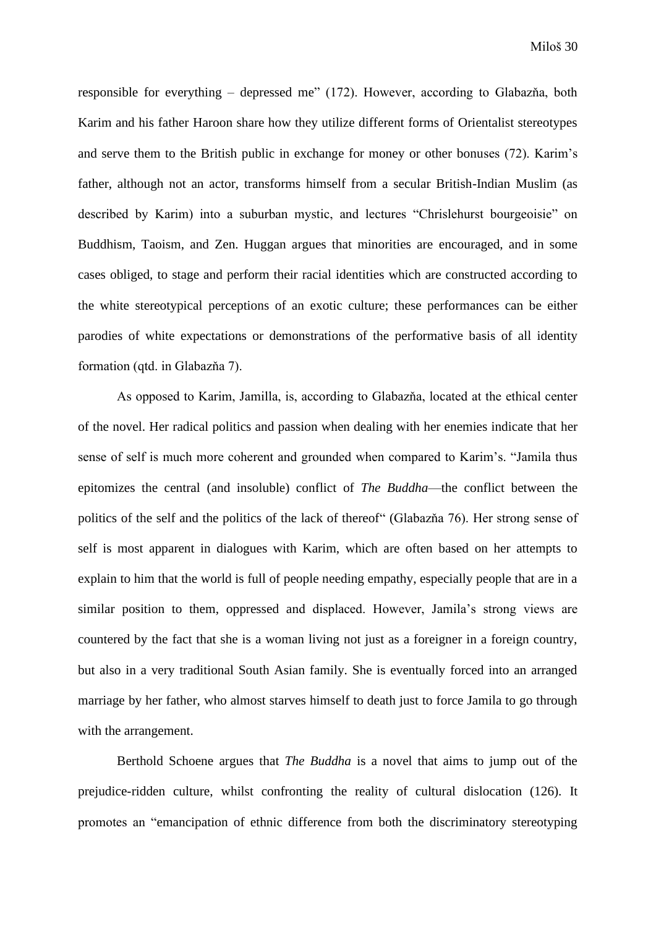responsible for everything – depressed me" (172). However, according to Glabazňa, both Karim and his father Haroon share how they utilize different forms of Orientalist stereotypes and serve them to the British public in exchange for money or other bonuses (72). Karim's father, although not an actor, transforms himself from a secular British-Indian Muslim (as described by Karim) into a suburban mystic, and lectures "Chrislehurst bourgeoisie" on Buddhism, Taoism, and Zen. Huggan argues that minorities are encouraged, and in some cases obliged, to stage and perform their racial identities which are constructed according to the white stereotypical perceptions of an exotic culture; these performances can be either parodies of white expectations or demonstrations of the performative basis of all identity formation (qtd. in Glabazňa 7).

As opposed to Karim, Jamilla, is, according to Glabazňa, located at the ethical center of the novel. Her radical politics and passion when dealing with her enemies indicate that her sense of self is much more coherent and grounded when compared to Karim's. "Jamila thus epitomizes the central (and insoluble) conflict of *The Buddha*—the conflict between the politics of the self and the politics of the lack of thereof" (Glabazňa 76). Her strong sense of self is most apparent in dialogues with Karim, which are often based on her attempts to explain to him that the world is full of people needing empathy, especially people that are in a similar position to them, oppressed and displaced. However, Jamila's strong views are countered by the fact that she is a woman living not just as a foreigner in a foreign country, but also in a very traditional South Asian family. She is eventually forced into an arranged marriage by her father, who almost starves himself to death just to force Jamila to go through with the arrangement.

Berthold Schoene argues that *The Buddha* is a novel that aims to jump out of the prejudice-ridden culture, whilst confronting the reality of cultural dislocation (126). It promotes an "emancipation of ethnic difference from both the discriminatory stereotyping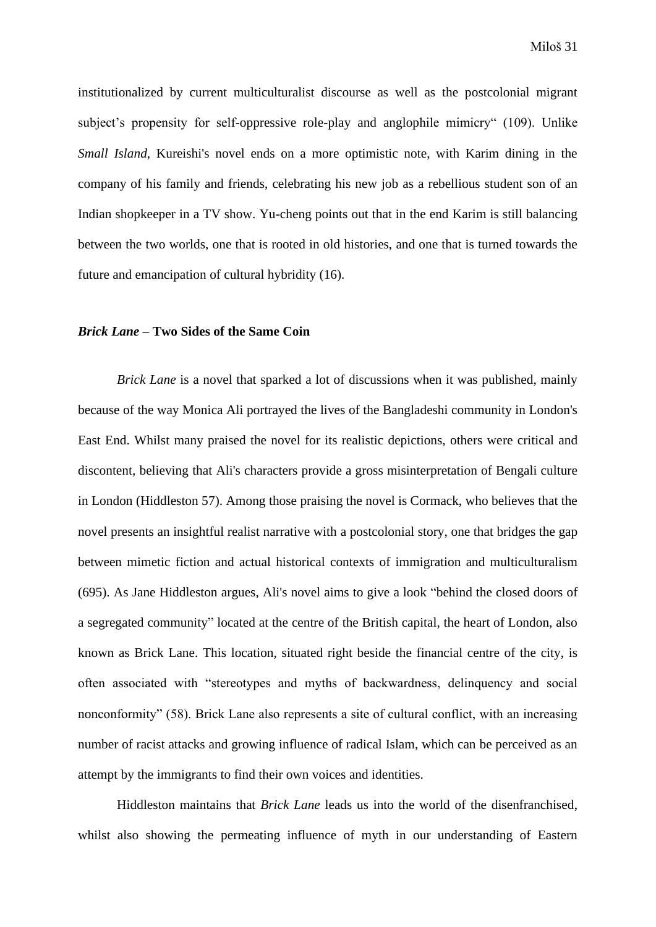institutionalized by current multiculturalist discourse as well as the postcolonial migrant subject's propensity for self-oppressive role-play and anglophile mimicry" (109). Unlike *Small Island*, Kureishi's novel ends on a more optimistic note, with Karim dining in the company of his family and friends, celebrating his new job as a rebellious student son of an Indian shopkeeper in a TV show. Yu-cheng points out that in the end Karim is still balancing between the two worlds, one that is rooted in old histories, and one that is turned towards the future and emancipation of cultural hybridity (16).

#### <span id="page-31-0"></span>*Brick Lane* **– Two Sides of the Same Coin**

*Brick Lane* is a novel that sparked a lot of discussions when it was published, mainly because of the way Monica Ali portrayed the lives of the Bangladeshi community in London's East End. Whilst many praised the novel for its realistic depictions, others were critical and discontent, believing that Ali's characters provide a gross misinterpretation of Bengali culture in London (Hiddleston 57). Among those praising the novel is Cormack, who believes that the novel presents an insightful realist narrative with a postcolonial story, one that bridges the gap between mimetic fiction and actual historical contexts of immigration and multiculturalism (695). As Jane Hiddleston argues, Ali's novel aims to give a look "behind the closed doors of a segregated community" located at the centre of the British capital, the heart of London, also known as Brick Lane. This location, situated right beside the financial centre of the city, is often associated with "stereotypes and myths of backwardness, delinquency and social nonconformity" (58). Brick Lane also represents a site of cultural conflict, with an increasing number of racist attacks and growing influence of radical Islam, which can be perceived as an attempt by the immigrants to find their own voices and identities.

Hiddleston maintains that *Brick Lane* leads us into the world of the disenfranchised, whilst also showing the permeating influence of myth in our understanding of Eastern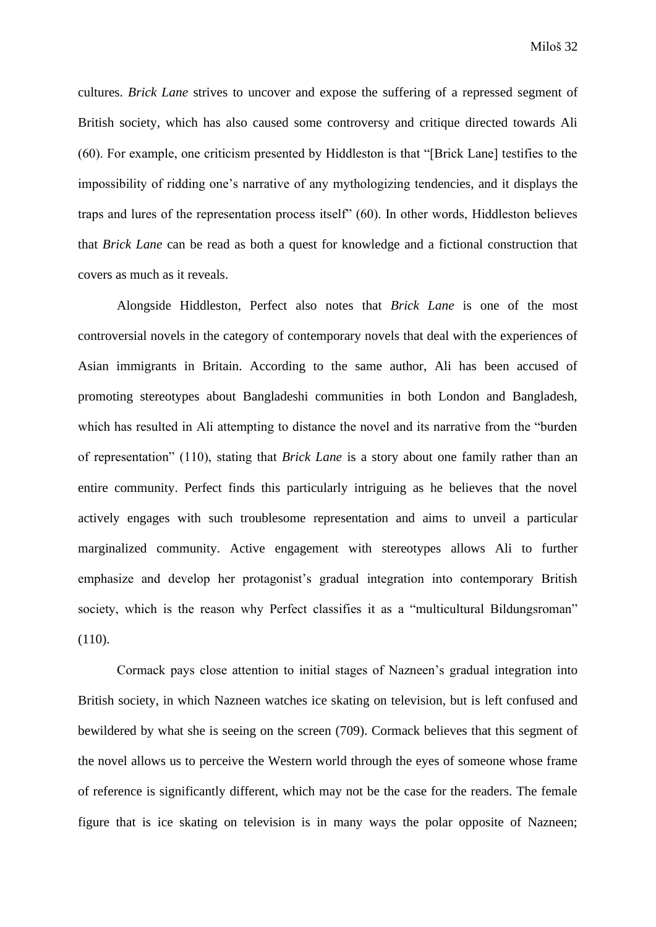cultures. *Brick Lane* strives to uncover and expose the suffering of a repressed segment of British society, which has also caused some controversy and critique directed towards Ali (60). For example, one criticism presented by Hiddleston is that "[Brick Lane] testifies to the impossibility of ridding one's narrative of any mythologizing tendencies, and it displays the traps and lures of the representation process itself" (60). In other words, Hiddleston believes that *Brick Lane* can be read as both a quest for knowledge and a fictional construction that covers as much as it reveals.

Alongside Hiddleston, Perfect also notes that *Brick Lane* is one of the most controversial novels in the category of contemporary novels that deal with the experiences of Asian immigrants in Britain. According to the same author, Ali has been accused of promoting stereotypes about Bangladeshi communities in both London and Bangladesh, which has resulted in Ali attempting to distance the novel and its narrative from the "burden of representation" (110), stating that *Brick Lane* is a story about one family rather than an entire community. Perfect finds this particularly intriguing as he believes that the novel actively engages with such troublesome representation and aims to unveil a particular marginalized community. Active engagement with stereotypes allows Ali to further emphasize and develop her protagonist's gradual integration into contemporary British society, which is the reason why Perfect classifies it as a "multicultural Bildungsroman"  $(110).$ 

Cormack pays close attention to initial stages of Nazneen's gradual integration into British society, in which Nazneen watches ice skating on television, but is left confused and bewildered by what she is seeing on the screen (709). Cormack believes that this segment of the novel allows us to perceive the Western world through the eyes of someone whose frame of reference is significantly different, which may not be the case for the readers. The female figure that is ice skating on television is in many ways the polar opposite of Nazneen;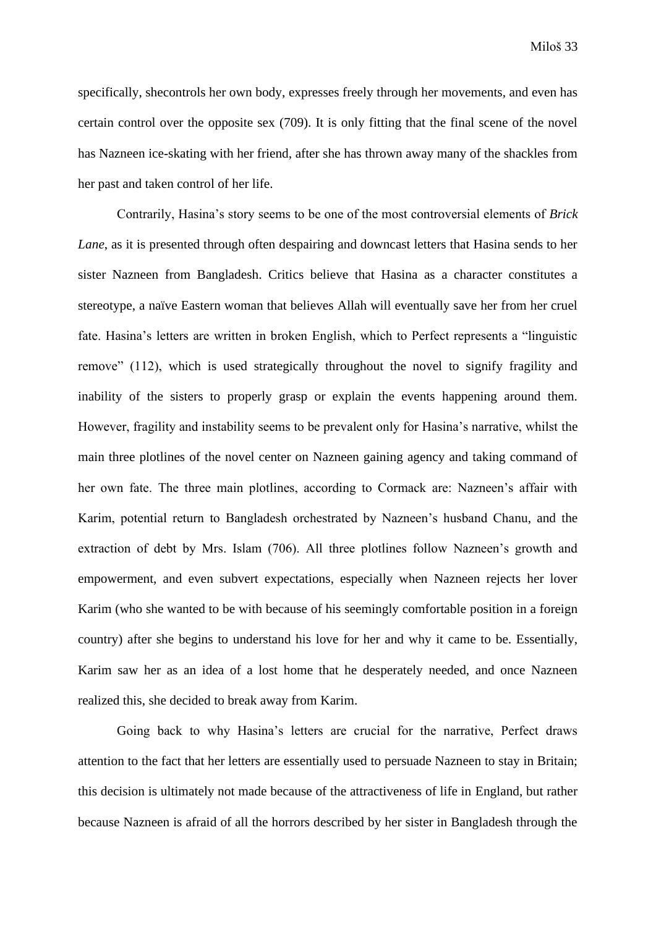specifically, shecontrols her own body, expresses freely through her movements, and even has certain control over the opposite sex (709). It is only fitting that the final scene of the novel has Nazneen ice-skating with her friend, after she has thrown away many of the shackles from her past and taken control of her life.

Contrarily, Hasina's story seems to be one of the most controversial elements of *Brick Lane*, as it is presented through often despairing and downcast letters that Hasina sends to her sister Nazneen from Bangladesh. Critics believe that Hasina as a character constitutes a stereotype, a naïve Eastern woman that believes Allah will eventually save her from her cruel fate. Hasina's letters are written in broken English, which to Perfect represents a "linguistic remove" (112), which is used strategically throughout the novel to signify fragility and inability of the sisters to properly grasp or explain the events happening around them. However, fragility and instability seems to be prevalent only for Hasina's narrative, whilst the main three plotlines of the novel center on Nazneen gaining agency and taking command of her own fate. The three main plotlines, according to Cormack are: Nazneen's affair with Karim, potential return to Bangladesh orchestrated by Nazneen's husband Chanu, and the extraction of debt by Mrs. Islam (706). All three plotlines follow Nazneen's growth and empowerment, and even subvert expectations, especially when Nazneen rejects her lover Karim (who she wanted to be with because of his seemingly comfortable position in a foreign country) after she begins to understand his love for her and why it came to be. Essentially, Karim saw her as an idea of a lost home that he desperately needed, and once Nazneen realized this, she decided to break away from Karim.

Going back to why Hasina's letters are crucial for the narrative, Perfect draws attention to the fact that her letters are essentially used to persuade Nazneen to stay in Britain; this decision is ultimately not made because of the attractiveness of life in England, but rather because Nazneen is afraid of all the horrors described by her sister in Bangladesh through the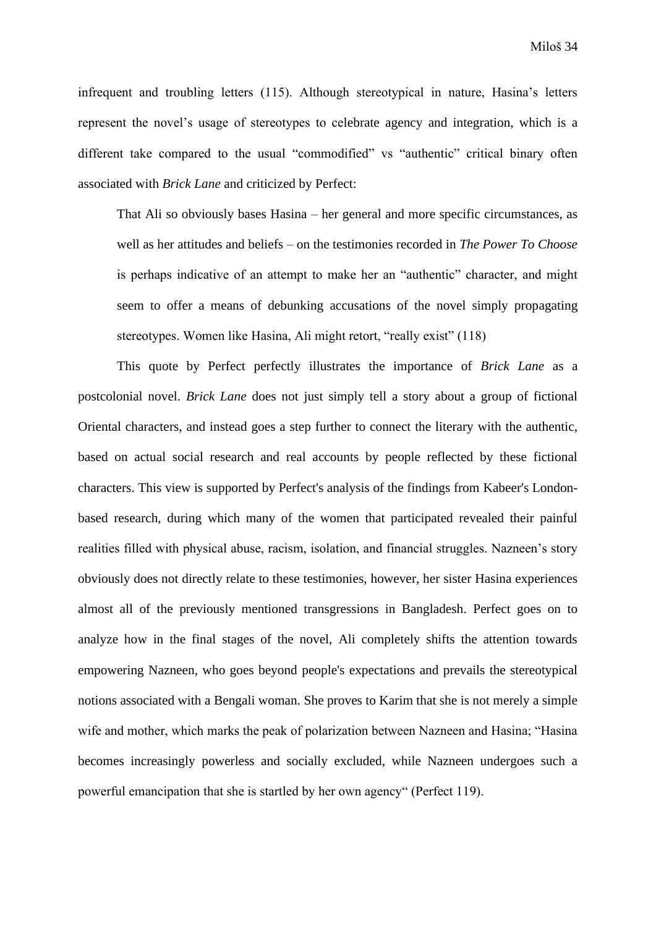infrequent and troubling letters (115). Although stereotypical in nature, Hasina's letters represent the novel's usage of stereotypes to celebrate agency and integration, which is a different take compared to the usual "commodified" vs "authentic" critical binary often associated with *Brick Lane* and criticized by Perfect:

That Ali so obviously bases Hasina – her general and more specific circumstances, as well as her attitudes and beliefs – on the testimonies recorded in *The Power To Choose*  is perhaps indicative of an attempt to make her an "authentic" character, and might seem to offer a means of debunking accusations of the novel simply propagating stereotypes. Women like Hasina, Ali might retort, "really exist" (118)

This quote by Perfect perfectly illustrates the importance of *Brick Lane* as a postcolonial novel. *Brick Lane* does not just simply tell a story about a group of fictional Oriental characters, and instead goes a step further to connect the literary with the authentic, based on actual social research and real accounts by people reflected by these fictional characters. This view is supported by Perfect's analysis of the findings from Kabeer's Londonbased research, during which many of the women that participated revealed their painful realities filled with physical abuse, racism, isolation, and financial struggles. Nazneen's story obviously does not directly relate to these testimonies, however, her sister Hasina experiences almost all of the previously mentioned transgressions in Bangladesh. Perfect goes on to analyze how in the final stages of the novel, Ali completely shifts the attention towards empowering Nazneen, who goes beyond people's expectations and prevails the stereotypical notions associated with a Bengali woman. She proves to Karim that she is not merely a simple wife and mother, which marks the peak of polarization between Nazneen and Hasina; "Hasina becomes increasingly powerless and socially excluded, while Nazneen undergoes such a powerful emancipation that she is startled by her own agency" (Perfect 119).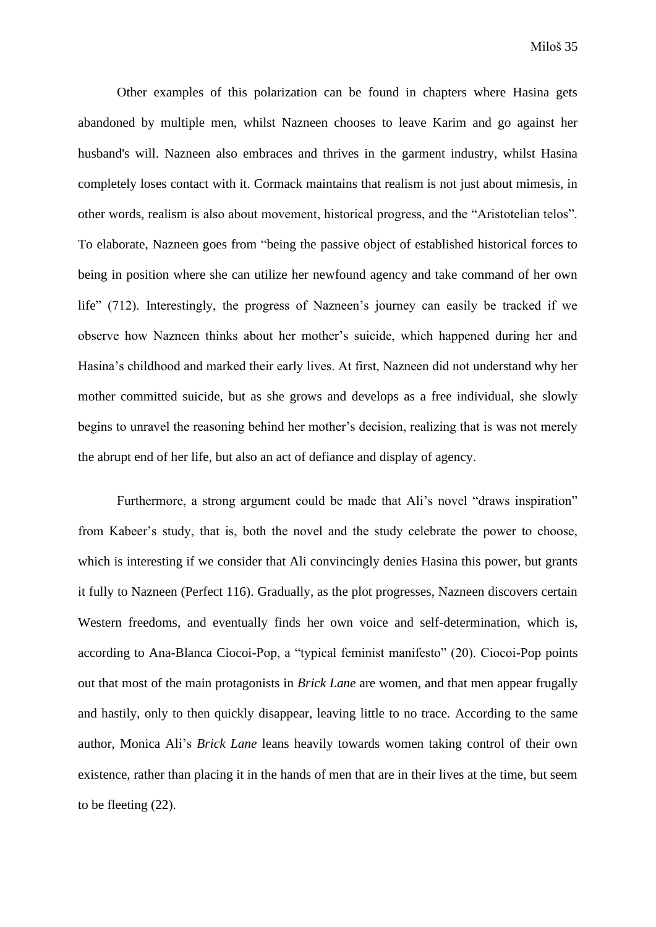Other examples of this polarization can be found in chapters where Hasina gets abandoned by multiple men, whilst Nazneen chooses to leave Karim and go against her husband's will. Nazneen also embraces and thrives in the garment industry, whilst Hasina completely loses contact with it. Cormack maintains that realism is not just about mimesis, in other words, realism is also about movement, historical progress, and the "Aristotelian telos". To elaborate, Nazneen goes from "being the passive object of established historical forces to being in position where she can utilize her newfound agency and take command of her own life" (712). Interestingly, the progress of Nazneen's journey can easily be tracked if we observe how Nazneen thinks about her mother's suicide, which happened during her and Hasina's childhood and marked their early lives. At first, Nazneen did not understand why her mother committed suicide, but as she grows and develops as a free individual, she slowly begins to unravel the reasoning behind her mother's decision, realizing that is was not merely the abrupt end of her life, but also an act of defiance and display of agency.

Furthermore, a strong argument could be made that Ali's novel "draws inspiration" from Kabeer's study, that is, both the novel and the study celebrate the power to choose, which is interesting if we consider that Ali convincingly denies Hasina this power, but grants it fully to Nazneen (Perfect 116). Gradually, as the plot progresses, Nazneen discovers certain Western freedoms, and eventually finds her own voice and self-determination, which is, according to Ana-Blanca Ciocoi-Pop, a "typical feminist manifesto" (20). Ciocoi-Pop points out that most of the main protagonists in *Brick Lane* are women, and that men appear frugally and hastily, only to then quickly disappear, leaving little to no trace. According to the same author, Monica Ali's *Brick Lane* leans heavily towards women taking control of their own existence, rather than placing it in the hands of men that are in their lives at the time, but seem to be fleeting (22).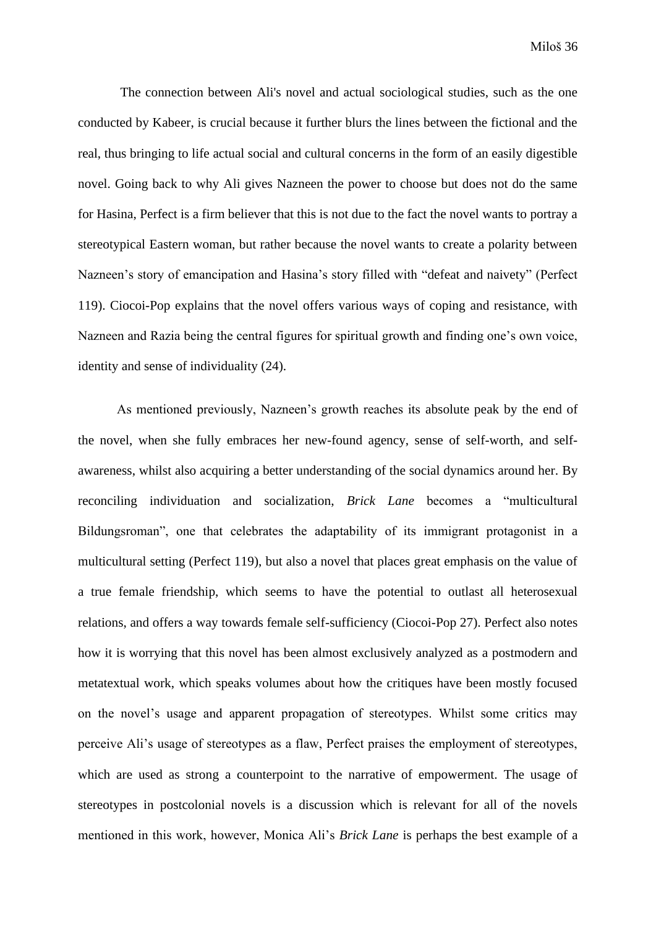The connection between Ali's novel and actual sociological studies, such as the one conducted by Kabeer, is crucial because it further blurs the lines between the fictional and the real, thus bringing to life actual social and cultural concerns in the form of an easily digestible novel. Going back to why Ali gives Nazneen the power to choose but does not do the same for Hasina, Perfect is a firm believer that this is not due to the fact the novel wants to portray a stereotypical Eastern woman, but rather because the novel wants to create a polarity between Nazneen's story of emancipation and Hasina's story filled with "defeat and naivety" (Perfect 119). Ciocoi-Pop explains that the novel offers various ways of coping and resistance, with Nazneen and Razia being the central figures for spiritual growth and finding one's own voice, identity and sense of individuality (24).

As mentioned previously, Nazneen's growth reaches its absolute peak by the end of the novel, when she fully embraces her new-found agency, sense of self-worth, and selfawareness, whilst also acquiring a better understanding of the social dynamics around her. By reconciling individuation and socialization, *Brick Lane* becomes a "multicultural Bildungsroman", one that celebrates the adaptability of its immigrant protagonist in a multicultural setting (Perfect 119), but also a novel that places great emphasis on the value of a true female friendship, which seems to have the potential to outlast all heterosexual relations, and offers a way towards female self-sufficiency (Ciocoi-Pop 27). Perfect also notes how it is worrying that this novel has been almost exclusively analyzed as a postmodern and metatextual work, which speaks volumes about how the critiques have been mostly focused on the novel's usage and apparent propagation of stereotypes. Whilst some critics may perceive Ali's usage of stereotypes as a flaw, Perfect praises the employment of stereotypes, which are used as strong a counterpoint to the narrative of empowerment. The usage of stereotypes in postcolonial novels is a discussion which is relevant for all of the novels mentioned in this work, however, Monica Ali's *Brick Lane* is perhaps the best example of a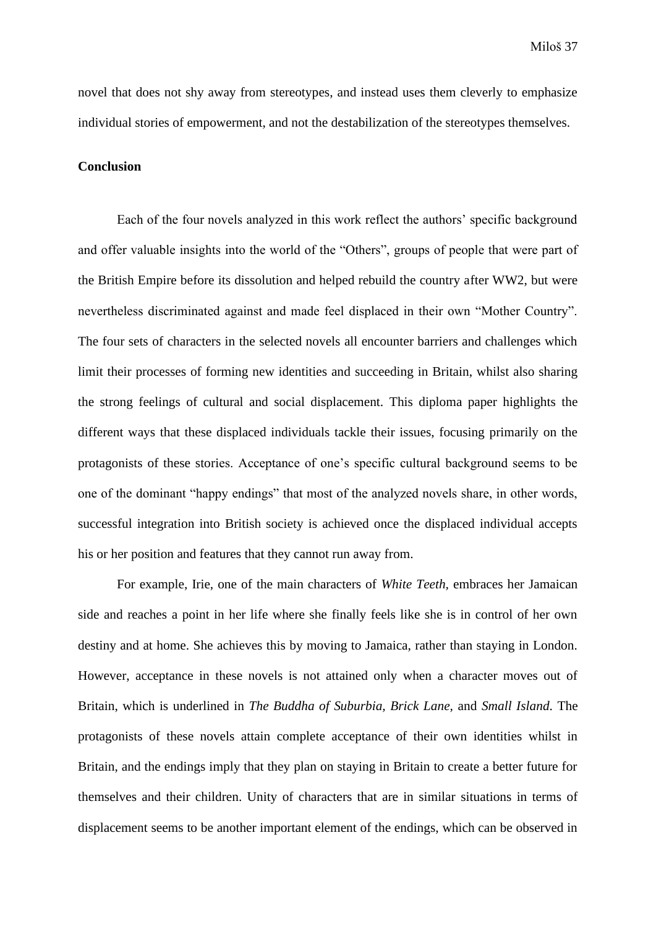novel that does not shy away from stereotypes, and instead uses them cleverly to emphasize individual stories of empowerment, and not the destabilization of the stereotypes themselves.

#### <span id="page-37-0"></span>**Conclusion**

Each of the four novels analyzed in this work reflect the authors' specific background and offer valuable insights into the world of the "Others", groups of people that were part of the British Empire before its dissolution and helped rebuild the country after WW2, but were nevertheless discriminated against and made feel displaced in their own "Mother Country". The four sets of characters in the selected novels all encounter barriers and challenges which limit their processes of forming new identities and succeeding in Britain, whilst also sharing the strong feelings of cultural and social displacement. This diploma paper highlights the different ways that these displaced individuals tackle their issues, focusing primarily on the protagonists of these stories. Acceptance of one's specific cultural background seems to be one of the dominant "happy endings" that most of the analyzed novels share, in other words, successful integration into British society is achieved once the displaced individual accepts his or her position and features that they cannot run away from.

For example, Irie, one of the main characters of *White Teeth,* embraces her Jamaican side and reaches a point in her life where she finally feels like she is in control of her own destiny and at home. She achieves this by moving to Jamaica, rather than staying in London. However, acceptance in these novels is not attained only when a character moves out of Britain, which is underlined in *The Buddha of Suburbia, Brick Lane,* and *Small Island*. The protagonists of these novels attain complete acceptance of their own identities whilst in Britain, and the endings imply that they plan on staying in Britain to create a better future for themselves and their children. Unity of characters that are in similar situations in terms of displacement seems to be another important element of the endings, which can be observed in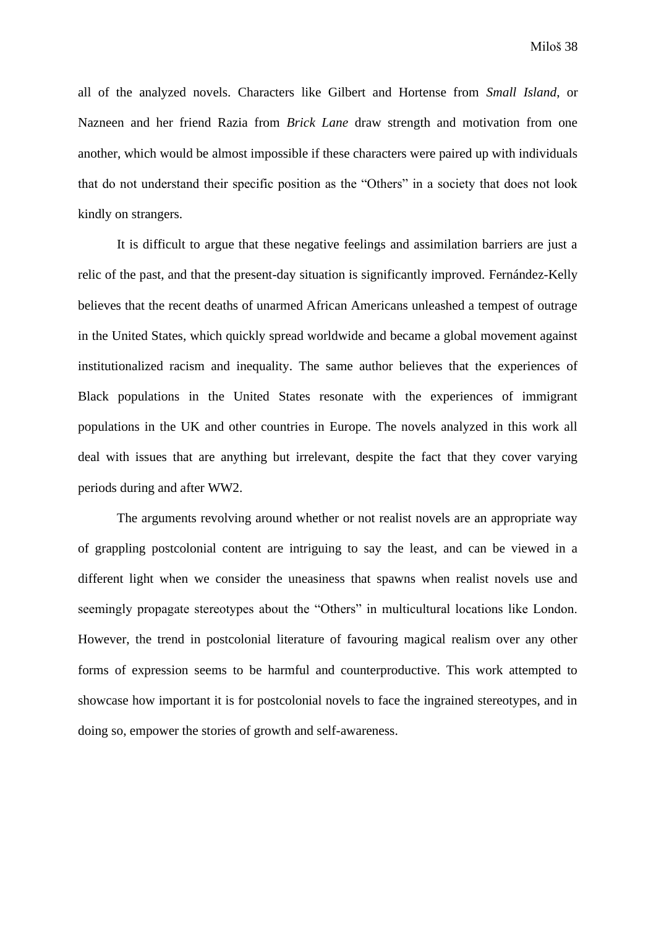all of the analyzed novels. Characters like Gilbert and Hortense from *Small Island*, or Nazneen and her friend Razia from *Brick Lane* draw strength and motivation from one another, which would be almost impossible if these characters were paired up with individuals that do not understand their specific position as the "Others" in a society that does not look kindly on strangers.

It is difficult to argue that these negative feelings and assimilation barriers are just a relic of the past, and that the present-day situation is significantly improved. [Fernández-Kelly](https://items.ssrc.org/author/patricia-fernandez-kelly/) believes that the recent deaths of unarmed African Americans unleashed a tempest of outrage in the United States, which quickly spread worldwide and became a global movement against institutionalized racism and inequality. The same author believes that the experiences of Black populations in the United States resonate with the experiences of immigrant populations in the UK and other countries in Europe. The novels analyzed in this work all deal with issues that are anything but irrelevant, despite the fact that they cover varying periods during and after WW2.

The arguments revolving around whether or not realist novels are an appropriate way of grappling postcolonial content are intriguing to say the least, and can be viewed in a different light when we consider the uneasiness that spawns when realist novels use and seemingly propagate stereotypes about the "Others" in multicultural locations like London. However, the trend in postcolonial literature of favouring magical realism over any other forms of expression seems to be harmful and counterproductive. This work attempted to showcase how important it is for postcolonial novels to face the ingrained stereotypes, and in doing so, empower the stories of growth and self-awareness.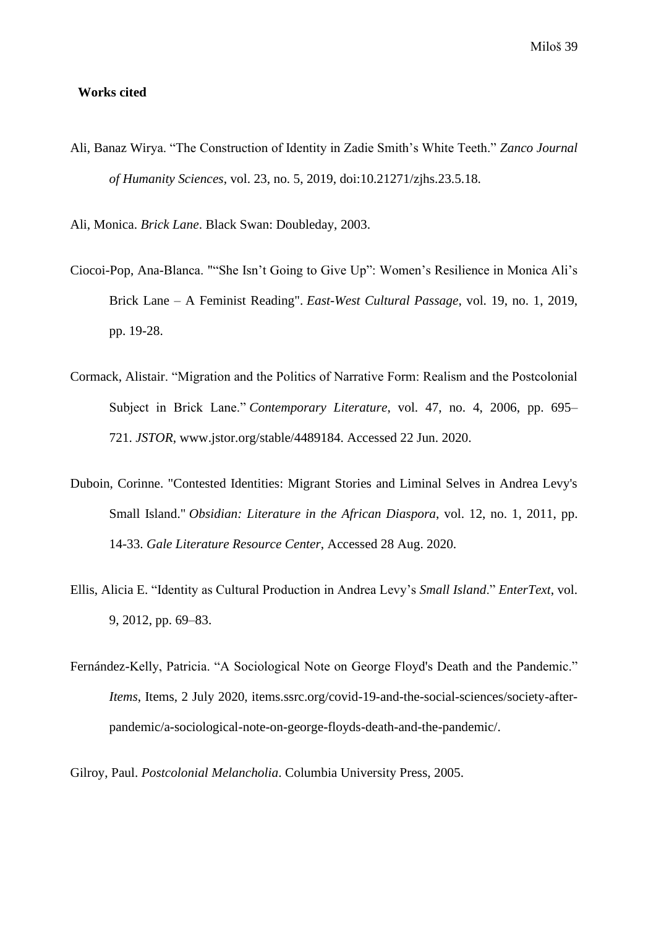#### <span id="page-39-0"></span>**Works cited**

- Ali, Banaz Wirya. "The Construction of Identity in Zadie Smith's White Teeth." *Zanco Journal of Humanity Sciences*, vol. 23, no. 5, 2019, doi:10.21271/zjhs.23.5.18.
- Ali, Monica. *Brick Lane*. Black Swan: Doubleday, 2003.
- Ciocoi-Pop, Ana-Blanca. ""She Isn't Going to Give Up": Women's Resilience in Monica Ali's Brick Lane – A Feminist Reading". *East-West Cultural Passage*, vol. 19, no. 1, 2019, pp. 19-28.
- Cormack, Alistair. "Migration and the Politics of Narrative Form: Realism and the Postcolonial Subject in Brick Lane." *Contemporary Literature*, vol. 47, no. 4, 2006, pp. 695– 721. *JSTOR*, www.jstor.org/stable/4489184. Accessed 22 Jun. 2020.
- Duboin, Corinne. "Contested Identities: Migrant Stories and Liminal Selves in Andrea Levy's Small Island." *Obsidian: Literature in the African Diaspora*, vol. 12, no. 1, 2011, pp. 14-33. *Gale Literature Resource Center*, Accessed 28 Aug. 2020.
- Ellis, Alicia E. "Identity as Cultural Production in Andrea Levy's *Small Island*." *EnterText*, vol. 9, 2012, pp. 69–83.
- Fernández-Kelly, Patricia. "A Sociological Note on George Floyd's Death and the Pandemic." *Items*, Items, 2 July 2020, items.ssrc.org/covid-19-and-the-social-sciences/society-afterpandemic/a-sociological-note-on-george-floyds-death-and-the-pandemic/.
- Gilroy, Paul. *Postcolonial Melancholia*. Columbia University Press, 2005.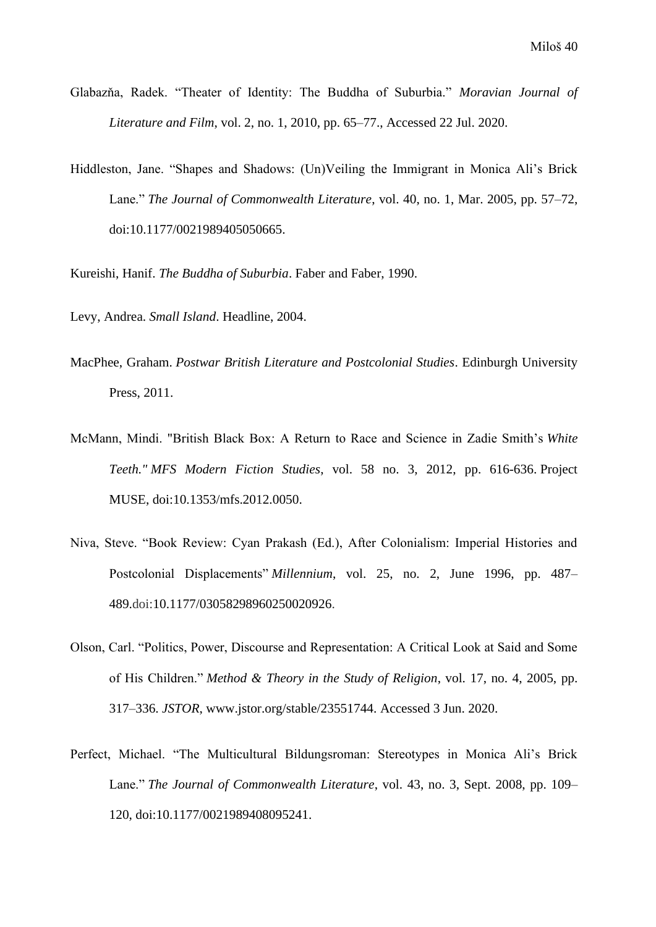- Glabazňa, Radek. "Theater of Identity: The Buddha of Suburbia." *Moravian Journal of Literature and Film*, vol. 2, no. 1, 2010, pp. 65–77., Accessed 22 Jul. 2020.
- Hiddleston, Jane. "Shapes and Shadows: (Un)Veiling the Immigrant in Monica Ali's Brick Lane." *The Journal of Commonwealth Literature*, vol. 40, no. 1, Mar. 2005, pp. 57–72, doi:10.1177/0021989405050665.

Kureishi, Hanif. *The Buddha of Suburbia*. Faber and Faber, 1990.

Levy, Andrea. *Small Island*. Headline, 2004.

- MacPhee, Graham. *Postwar British Literature and Postcolonial Studies*. Edinburgh University Press, 2011.
- McMann, Mindi. "British Black Box: A Return to Race and Science in Zadie Smith's *White Teeth." MFS Modern Fiction Studies*, vol. 58 no. 3, 2012, pp. 616-636. Project MUSE, doi:10.1353/mfs.2012.0050.
- Niva, Steve. "Book Review: Cyan Prakash (Ed.), After Colonialism: Imperial Histories and Postcolonial Displacements" *Millennium*, vol. 25, no. 2, June 1996, pp. 487– 489.doi:10.1177/03058298960250020926.
- Olson, Carl. "Politics, Power, Discourse and Representation: A Critical Look at Said and Some of His Children." *Method & Theory in the Study of Religion*, vol. 17, no. 4, 2005, pp. 317–336. *JSTOR*, www.jstor.org/stable/23551744. Accessed 3 Jun. 2020.
- Perfect, Michael. "The Multicultural Bildungsroman: Stereotypes in Monica Ali's Brick Lane." *The Journal of Commonwealth Literature*, vol. 43, no. 3, Sept. 2008, pp. 109– 120, doi:10.1177/0021989408095241.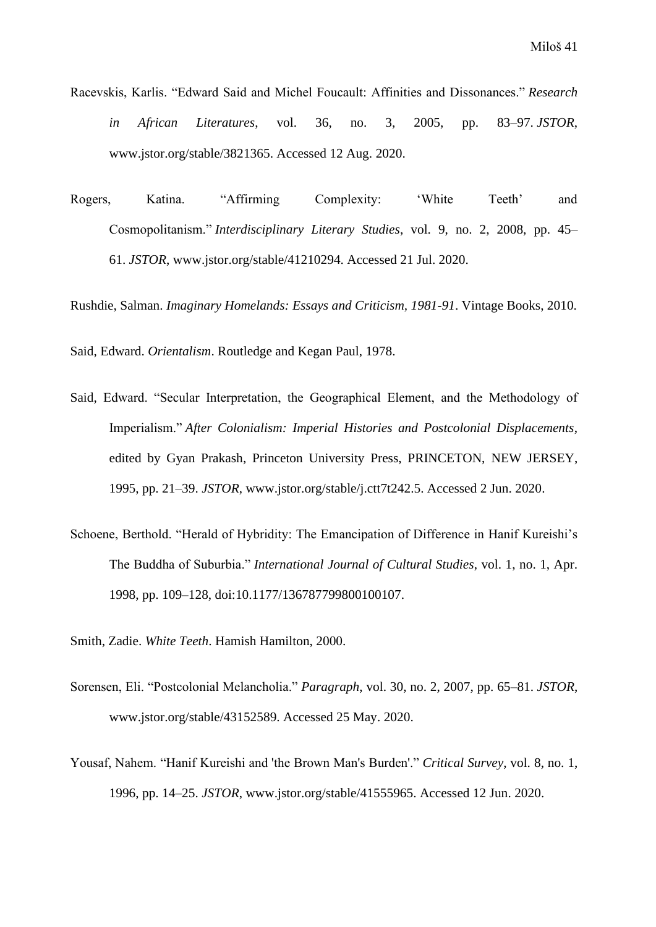- Racevskis, Karlis. "Edward Said and Michel Foucault: Affinities and Dissonances." *Research in African Literatures*, vol. 36, no. 3, 2005, pp. 83–97. *JSTOR*, www.jstor.org/stable/3821365. Accessed 12 Aug. 2020.
- Rogers, Katina. "Affirming Complexity: 'White Teeth' and Cosmopolitanism." *Interdisciplinary Literary Studies*, vol. 9, no. 2, 2008, pp. 45– 61. *JSTOR*, www.jstor.org/stable/41210294. Accessed 21 Jul. 2020.

Rushdie, Salman. *Imaginary Homelands: Essays and Criticism, 1981-91*. Vintage Books, 2010.

Said, Edward. *Orientalism*. Routledge and Kegan Paul, 1978.

- Said, Edward. "Secular Interpretation, the Geographical Element, and the Methodology of Imperialism." *After Colonialism: Imperial Histories and Postcolonial Displacements*, edited by Gyan Prakash, Princeton University Press, PRINCETON, NEW JERSEY, 1995, pp. 21–39. *JSTOR*, www.jstor.org/stable/j.ctt7t242.5. Accessed 2 Jun. 2020.
- Schoene, Berthold. "Herald of Hybridity: The Emancipation of Difference in Hanif Kureishi's The Buddha of Suburbia." *International Journal of Cultural Studies*, vol. 1, no. 1, Apr. 1998, pp. 109–128, doi:10.1177/136787799800100107.
- Smith, Zadie. *White Teeth*. Hamish Hamilton, 2000.
- Sorensen, Eli. "Postcolonial Melancholia." *Paragraph*, vol. 30, no. 2, 2007, pp. 65–81. *JSTOR*, www.jstor.org/stable/43152589. Accessed 25 May. 2020.
- Yousaf, Nahem. "Hanif Kureishi and 'the Brown Man's Burden'." *Critical Survey*, vol. 8, no. 1, 1996, pp. 14–25. *JSTOR*, www.jstor.org/stable/41555965. Accessed 12 Jun. 2020.